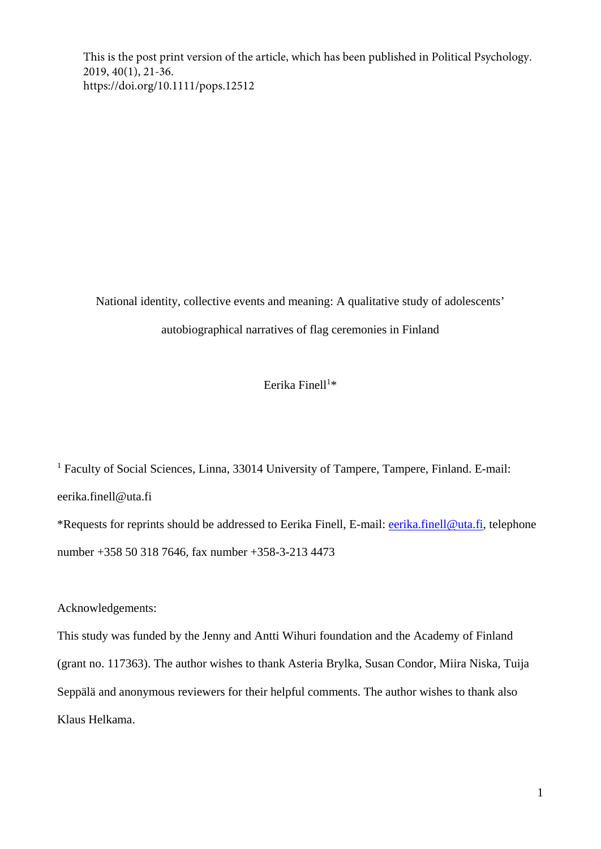This is the post print version of the article, which has been published in Political Psychology. 2019, 40(1), 21-36. https://doi.org/10.1111/pops.12512

National identity, collective events and meaning: A qualitative study of adolescents' autobiographical narratives of flag ceremonies in Finland

Eerika Finell $1*$ 

<sup>1</sup> Faculty of Social Sciences, Linna, 33014 University of Tampere, Tampere, Finland. E-mail: eerika.finell@uta.fi

\*Requests for reprints should be addressed to Eerika Finell, E-mail: [eerika.finell@uta.fi,](mailto:eerika.finell@uta.fi) telephone number +358 50 318 7646, fax number +358-3-213 4473

# Acknowledgements:

This study was funded by the Jenny and Antti Wihuri foundation and the Academy of Finland (grant no. 117363). The author wishes to thank Asteria Brylka, Susan Condor, Miira Niska, Tuija Seppälä and anonymous reviewers for their helpful comments. The author wishes to thank also Klaus Helkama.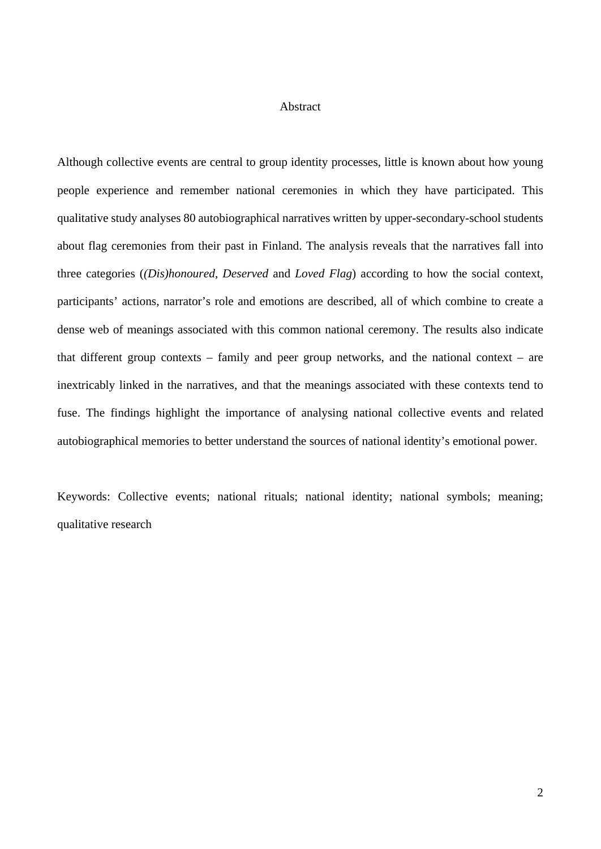# Abstract

Although collective events are central to group identity processes, little is known about how young people experience and remember national ceremonies in which they have participated. This qualitative study analyses 80 autobiographical narratives written by upper-secondary-school students about flag ceremonies from their past in Finland. The analysis reveals that the narratives fall into three categories (*(Dis)honoured*, *Deserved* and *Loved Flag*) according to how the social context, participants' actions, narrator's role and emotions are described, all of which combine to create a dense web of meanings associated with this common national ceremony. The results also indicate that different group contexts – family and peer group networks, and the national context – are inextricably linked in the narratives, and that the meanings associated with these contexts tend to fuse. The findings highlight the importance of analysing national collective events and related autobiographical memories to better understand the sources of national identity's emotional power.

Keywords: Collective events; national rituals; national identity; national symbols; meaning; qualitative research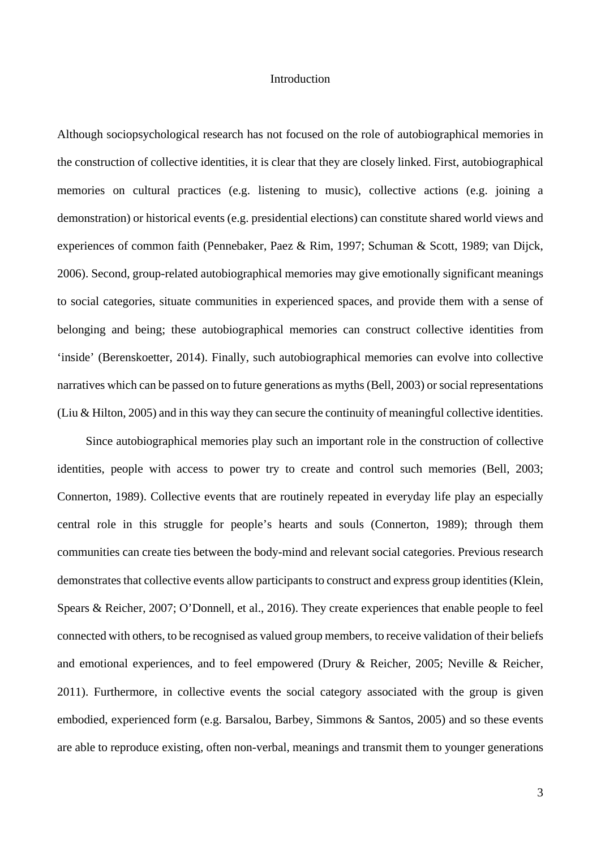## Introduction

Although sociopsychological research has not focused on the role of autobiographical memories in the construction of collective identities, it is clear that they are closely linked. First, autobiographical memories on cultural practices (e.g. listening to music), collective actions (e.g. joining a demonstration) or historical events (e.g. presidential elections) can constitute shared world views and experiences of common faith (Pennebaker, Paez & Rim, 1997; Schuman & Scott, 1989; van Dijck, 2006). Second, group-related autobiographical memories may give emotionally significant meanings to social categories, situate communities in experienced spaces, and provide them with a sense of belonging and being; these autobiographical memories can construct collective identities from 'inside' (Berenskoetter, 2014). Finally, such autobiographical memories can evolve into collective narratives which can be passed on to future generations as myths (Bell, 2003) or social representations (Liu & Hilton, 2005) and in this way they can secure the continuity of meaningful collective identities.

Since autobiographical memories play such an important role in the construction of collective identities, people with access to power try to create and control such memories (Bell, 2003; Connerton, 1989). Collective events that are routinely repeated in everyday life play an especially central role in this struggle for people's hearts and souls (Connerton, 1989); through them communities can create ties between the body-mind and relevant social categories. Previous research demonstrates that collective events allow participants to construct and express group identities(Klein, Spears & Reicher, 2007; O'Donnell, et al., 2016). They create experiences that enable people to feel connected with others, to be recognised as valued group members, to receive validation of their beliefs and emotional experiences, and to feel empowered (Drury & Reicher, 2005; Neville & Reicher, 2011). Furthermore, in collective events the social category associated with the group is given embodied, experienced form (e.g. Barsalou, Barbey, Simmons & Santos, 2005) and so these events are able to reproduce existing, often non-verbal, meanings and transmit them to younger generations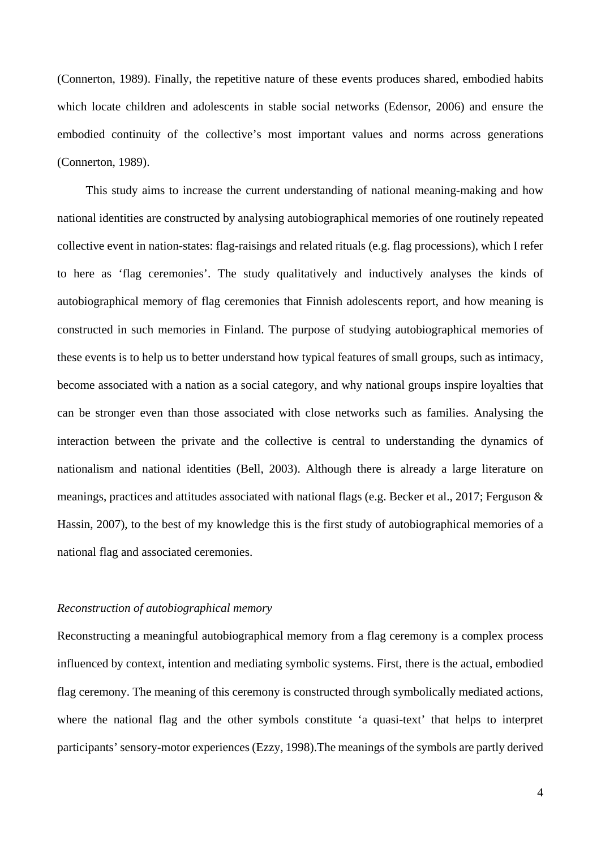(Connerton, 1989). Finally, the repetitive nature of these events produces shared, embodied habits which locate children and adolescents in stable social networks (Edensor, 2006) and ensure the embodied continuity of the collective's most important values and norms across generations (Connerton, 1989).

This study aims to increase the current understanding of national meaning-making and how national identities are constructed by analysing autobiographical memories of one routinely repeated collective event in nation-states: flag-raisings and related rituals (e.g. flag processions), which I refer to here as 'flag ceremonies'. The study qualitatively and inductively analyses the kinds of autobiographical memory of flag ceremonies that Finnish adolescents report, and how meaning is constructed in such memories in Finland. The purpose of studying autobiographical memories of these events is to help us to better understand how typical features of small groups, such as intimacy, become associated with a nation as a social category, and why national groups inspire loyalties that can be stronger even than those associated with close networks such as families. Analysing the interaction between the private and the collective is central to understanding the dynamics of nationalism and national identities (Bell, 2003). Although there is already a large literature on meanings, practices and attitudes associated with national flags (e.g. Becker et al., 2017; Ferguson & Hassin, 2007), to the best of my knowledge this is the first study of autobiographical memories of a national flag and associated ceremonies.

# *Reconstruction of autobiographical memory*

Reconstructing a meaningful autobiographical memory from a flag ceremony is a complex process influenced by context, intention and mediating symbolic systems. First, there is the actual, embodied flag ceremony. The meaning of this ceremony is constructed through symbolically mediated actions, where the national flag and the other symbols constitute 'a quasi-text' that helps to interpret participants'sensory-motor experiences (Ezzy, 1998).The meanings of the symbols are partly derived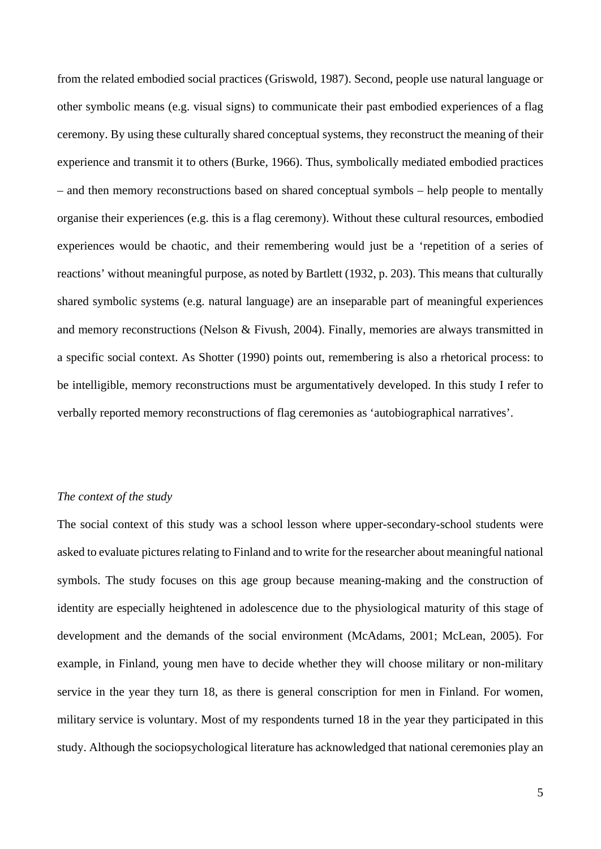from the related embodied social practices (Griswold, 1987). Second, people use natural language or other symbolic means (e.g. visual signs) to communicate their past embodied experiences of a flag ceremony. By using these culturally shared conceptual systems, they reconstruct the meaning of their experience and transmit it to others (Burke, 1966). Thus, symbolically mediated embodied practices – and then memory reconstructions based on shared conceptual symbols – help people to mentally organise their experiences (e.g. this is a flag ceremony). Without these cultural resources, embodied experiences would be chaotic, and their remembering would just be a 'repetition of a series of reactions' without meaningful purpose, as noted by Bartlett (1932, p. 203). This means that culturally shared symbolic systems (e.g. natural language) are an inseparable part of meaningful experiences and memory reconstructions (Nelson & Fivush, 2004). Finally, memories are always transmitted in a specific social context. As Shotter (1990) points out, remembering is also a rhetorical process: to be intelligible, memory reconstructions must be argumentatively developed. In this study I refer to verbally reported memory reconstructions of flag ceremonies as 'autobiographical narratives'.

# *The context of the study*

The social context of this study was a school lesson where upper-secondary-school students were asked to evaluate pictures relating to Finland and to write for the researcher about meaningful national symbols. The study focuses on this age group because meaning-making and the construction of identity are especially heightened in adolescence due to the physiological maturity of this stage of development and the demands of the social environment (McAdams, 2001; McLean, 2005). For example, in Finland, young men have to decide whether they will choose military or non-military service in the year they turn 18, as there is general conscription for men in Finland. For women, military service is voluntary. Most of my respondents turned 18 in the year they participated in this study. Although the sociopsychological literature has acknowledged that national ceremonies play an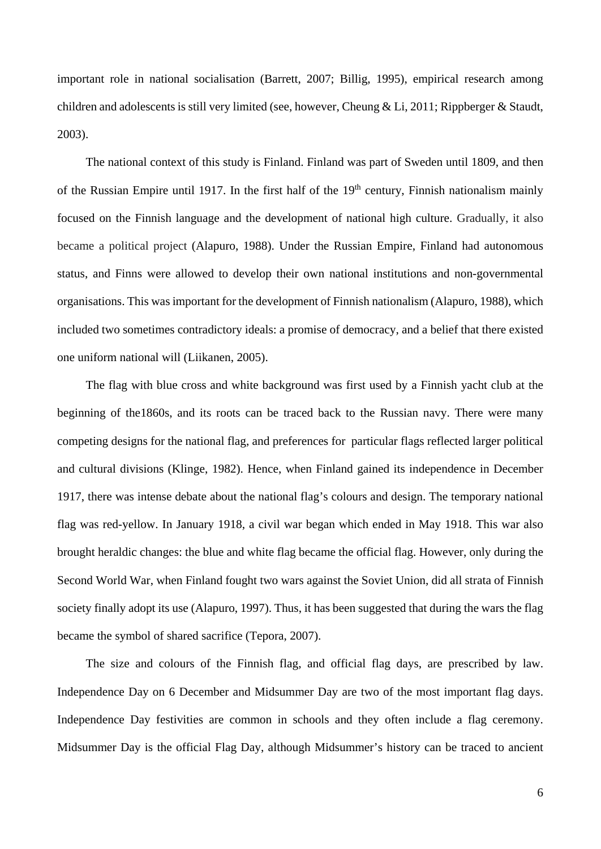important role in national socialisation (Barrett, 2007; Billig, 1995), empirical research among children and adolescents is still very limited (see, however, Cheung & Li, 2011; Rippberger & Staudt, 2003).

The national context of this study is Finland. Finland was part of Sweden until 1809, and then of the Russian Empire until 1917. In the first half of the  $19<sup>th</sup>$  century, Finnish nationalism mainly focused on the Finnish language and the development of national high culture. Gradually, it also became a political project (Alapuro, 1988). Under the Russian Empire, Finland had autonomous status, and Finns were allowed to develop their own national institutions and non-governmental organisations. This was important for the development of Finnish nationalism (Alapuro, 1988), which included two sometimes contradictory ideals: a promise of democracy, and a belief that there existed one uniform national will (Liikanen, 2005).

The flag with blue cross and white background was first used by a Finnish yacht club at the beginning of the1860s, and its roots can be traced back to the Russian navy. There were many competing designs for the national flag, and preferences for particular flags reflected larger political and cultural divisions (Klinge, 1982). Hence, when Finland gained its independence in December 1917, there was intense debate about the national flag's colours and design. The temporary national flag was red-yellow. In January 1918, a civil war began which ended in May 1918. This war also brought heraldic changes: the blue and white flag became the official flag. However, only during the Second World War, when Finland fought two wars against the Soviet Union, did all strata of Finnish society finally adopt its use (Alapuro, 1997). Thus, it has been suggested that during the wars the flag became the symbol of shared sacrifice (Tepora, 2007).

The size and colours of the Finnish flag, and official flag days, are prescribed by law. Independence Day on 6 December and Midsummer Day are two of the most important flag days. Independence Day festivities are common in schools and they often include a flag ceremony. Midsummer Day is the official Flag Day, although Midsummer's history can be traced to ancient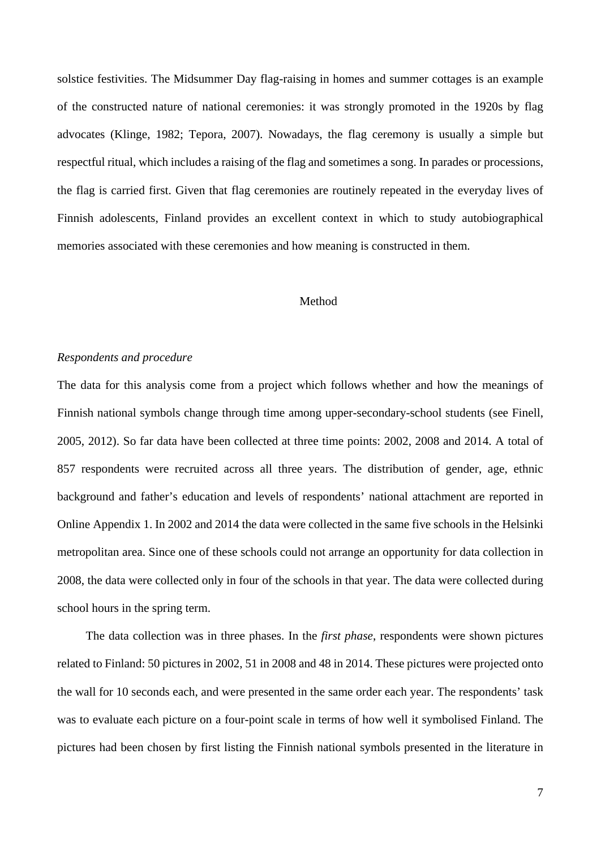solstice festivities. The Midsummer Day flag-raising in homes and summer cottages is an example of the constructed nature of national ceremonies: it was strongly promoted in the 1920s by flag advocates (Klinge, 1982; Tepora, 2007). Nowadays, the flag ceremony is usually a simple but respectful ritual, which includes a raising of the flag and sometimes a song. In parades or processions, the flag is carried first. Given that flag ceremonies are routinely repeated in the everyday lives of Finnish adolescents, Finland provides an excellent context in which to study autobiographical memories associated with these ceremonies and how meaning is constructed in them.

# Method

## *Respondents and procedure*

The data for this analysis come from a project which follows whether and how the meanings of Finnish national symbols change through time among upper-secondary-school students (see Finell, 2005, 2012). So far data have been collected at three time points: 2002, 2008 and 2014. A total of 857 respondents were recruited across all three years. The distribution of gender, age, ethnic background and father's education and levels of respondents' national attachment are reported in Online Appendix 1. In 2002 and 2014 the data were collected in the same five schools in the Helsinki metropolitan area. Since one of these schools could not arrange an opportunity for data collection in 2008, the data were collected only in four of the schools in that year. The data were collected during school hours in the spring term.

The data collection was in three phases. In the *first phase*, respondents were shown pictures related to Finland: 50 pictures in 2002, 51 in 2008 and 48 in 2014. These pictures were projected onto the wall for 10 seconds each, and were presented in the same order each year. The respondents' task was to evaluate each picture on a four-point scale in terms of how well it symbolised Finland. The pictures had been chosen by first listing the Finnish national symbols presented in the literature in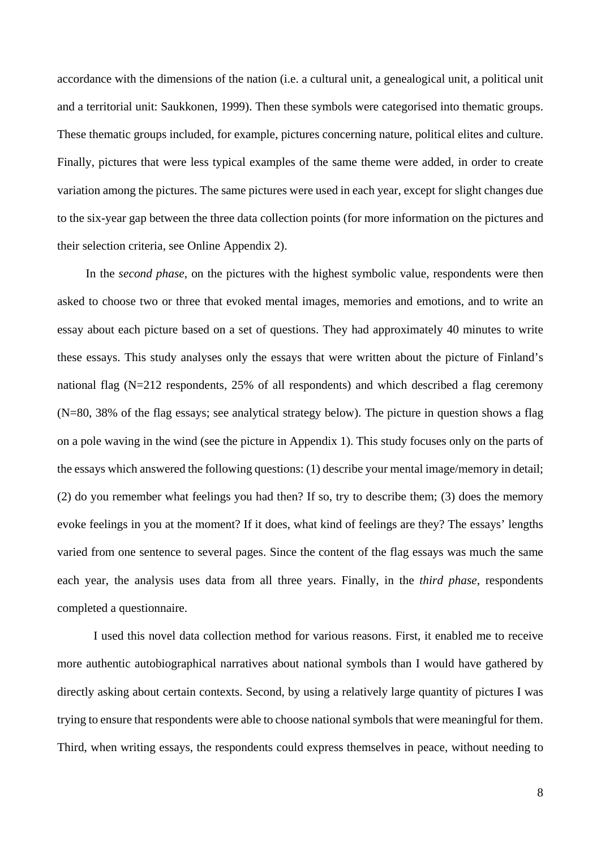accordance with the dimensions of the nation (i.e. a cultural unit, a genealogical unit, a political unit and a territorial unit: Saukkonen, 1999). Then these symbols were categorised into thematic groups. These thematic groups included, for example, pictures concerning nature, political elites and culture. Finally, pictures that were less typical examples of the same theme were added, in order to create variation among the pictures. The same pictures were used in each year, except for slight changes due to the six-year gap between the three data collection points (for more information on the pictures and their selection criteria, see Online Appendix 2).

In the *second phase*, on the pictures with the highest symbolic value, respondents were then asked to choose two or three that evoked mental images, memories and emotions, and to write an essay about each picture based on a set of questions. They had approximately 40 minutes to write these essays. This study analyses only the essays that were written about the picture of Finland's national flag (N=212 respondents, 25% of all respondents) and which described a flag ceremony (N=80, 38% of the flag essays; see analytical strategy below). The picture in question shows a flag on a pole waving in the wind (see the picture in Appendix 1). This study focuses only on the parts of the essays which answered the following questions: (1) describe your mental image/memory in detail; (2) do you remember what feelings you had then? If so, try to describe them; (3) does the memory evoke feelings in you at the moment? If it does, what kind of feelings are they? The essays' lengths varied from one sentence to several pages. Since the content of the flag essays was much the same each year, the analysis uses data from all three years. Finally, in the *third phase*, respondents completed a questionnaire.

I used this novel data collection method for various reasons. First, it enabled me to receive more authentic autobiographical narratives about national symbols than I would have gathered by directly asking about certain contexts. Second, by using a relatively large quantity of pictures I was trying to ensure that respondents were able to choose national symbols that were meaningful for them. Third, when writing essays, the respondents could express themselves in peace, without needing to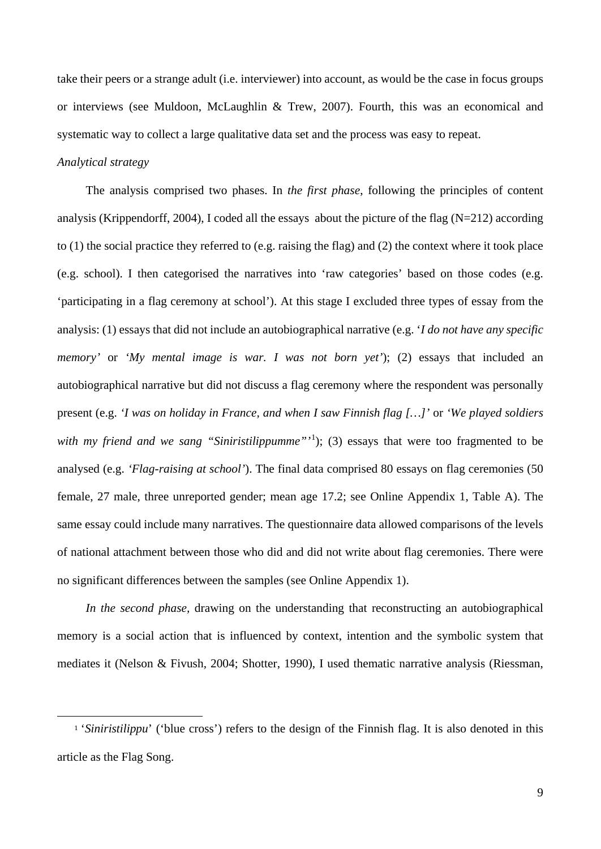take their peers or a strange adult (i.e. interviewer) into account, as would be the case in focus groups or interviews (see Muldoon, McLaughlin & Trew, 2007). Fourth, this was an economical and systematic way to collect a large qualitative data set and the process was easy to repeat.

## *Analytical strategy*

-

The analysis comprised two phases. In *the first phase*, following the principles of content analysis (Krippendorff, 2004), I coded all the essays about the picture of the flag (N=212) according to (1) the social practice they referred to (e.g. raising the flag) and (2) the context where it took place (e.g. school). I then categorised the narratives into 'raw categories' based on those codes (e.g. 'participating in a flag ceremony at school'). At this stage I excluded three types of essay from the analysis: (1) essays that did not include an autobiographical narrative (e.g. '*I do not have any specific memory'* or *'My mental image is war. I was not born yet'*); (2) essays that included an autobiographical narrative but did not discuss a flag ceremony where the respondent was personally present (e.g. *'I was on holiday in France, and when I saw Finnish flag […]'* or *'We played soldiers*  with my friend and we sang "Siniristilippumme"<sup>'</sup>); (3) essays that were too fragmented to be analysed (e.g. *'Flag-raising at school'*). The final data comprised 80 essays on flag ceremonies (50 female, 27 male, three unreported gender; mean age 17.2; see Online Appendix 1, Table A). The same essay could include many narratives. The questionnaire data allowed comparisons of the levels of national attachment between those who did and did not write about flag ceremonies. There were no significant differences between the samples (see Online Appendix 1).

*In the second phase,* drawing on the understanding that reconstructing an autobiographical memory is a social action that is influenced by context, intention and the symbolic system that mediates it (Nelson & Fivush, 2004; Shotter, 1990), I used thematic narrative analysis (Riessman,

<span id="page-8-0"></span><sup>1</sup> '*Siniristilippu*' ('blue cross') refers to the design of the Finnish flag. It is also denoted in this article as the Flag Song.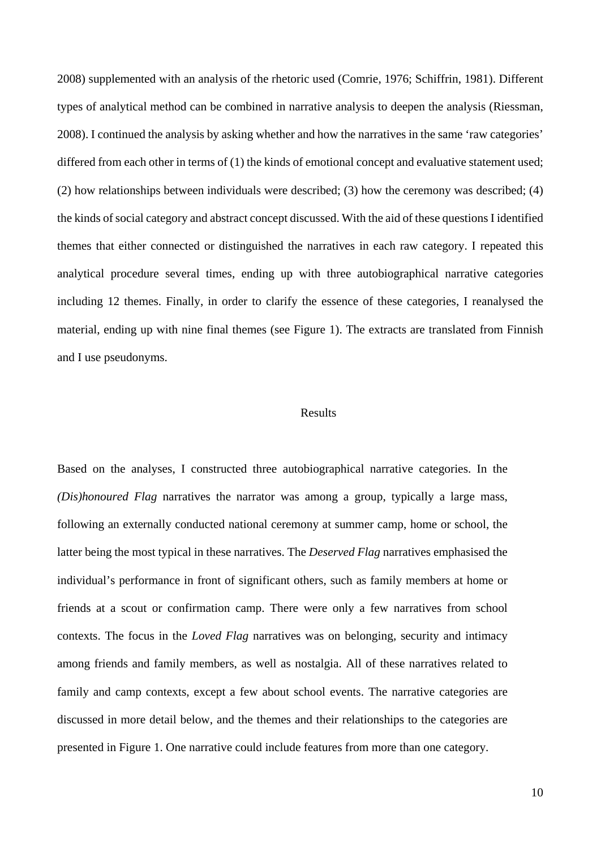2008) supplemented with an analysis of the rhetoric used (Comrie, 1976; Schiffrin, 1981). Different types of analytical method can be combined in narrative analysis to deepen the analysis (Riessman, 2008). I continued the analysis by asking whether and how the narratives in the same 'raw categories' differed from each other in terms of (1) the kinds of emotional concept and evaluative statement used; (2) how relationships between individuals were described; (3) how the ceremony was described; (4) the kinds of social category and abstract concept discussed. With the aid of these questions I identified themes that either connected or distinguished the narratives in each raw category. I repeated this analytical procedure several times, ending up with three autobiographical narrative categories including 12 themes. Finally, in order to clarify the essence of these categories, I reanalysed the material, ending up with nine final themes (see Figure 1). The extracts are translated from Finnish and I use pseudonyms.

## Results

Based on the analyses, I constructed three autobiographical narrative categories. In the *(Dis)honoured Flag* narratives the narrator was among a group, typically a large mass, following an externally conducted national ceremony at summer camp, home or school, the latter being the most typical in these narratives. The *Deserved Flag* narratives emphasised the individual's performance in front of significant others, such as family members at home or friends at a scout or confirmation camp. There were only a few narratives from school contexts. The focus in the *Loved Flag* narratives was on belonging, security and intimacy among friends and family members, as well as nostalgia. All of these narratives related to family and camp contexts, except a few about school events. The narrative categories are discussed in more detail below, and the themes and their relationships to the categories are presented in Figure 1. One narrative could include features from more than one category.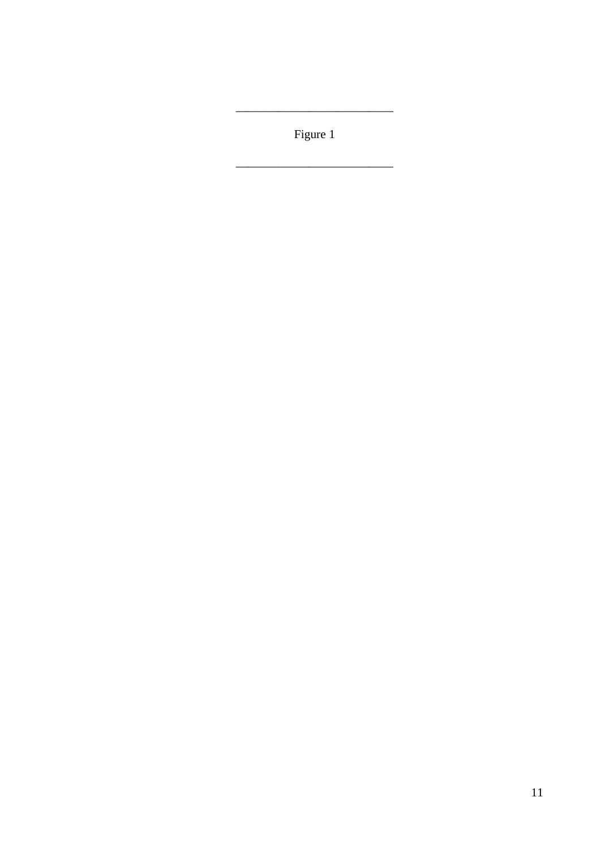Figure 1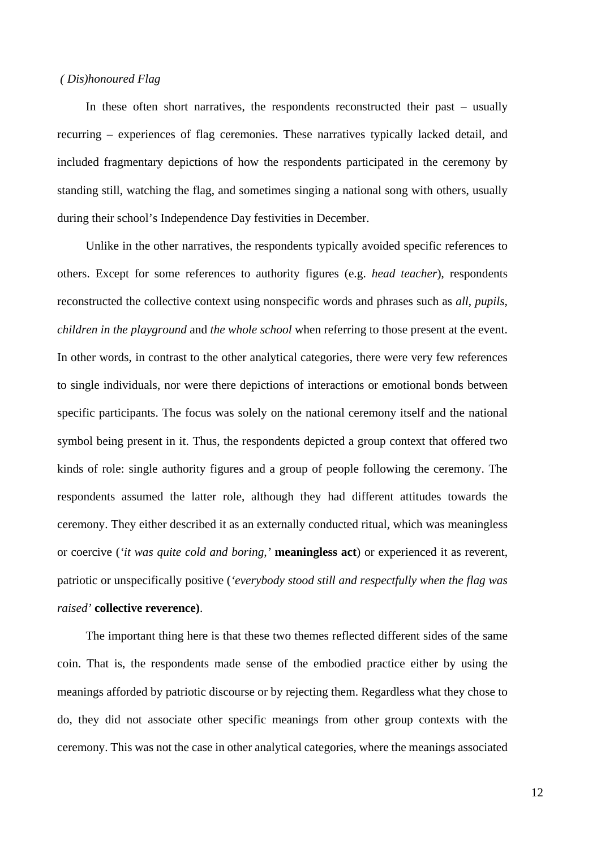#### *( Dis)honoured Flag*

In these often short narratives, the respondents reconstructed their past – usually recurring – experiences of flag ceremonies. These narratives typically lacked detail, and included fragmentary depictions of how the respondents participated in the ceremony by standing still, watching the flag, and sometimes singing a national song with others, usually during their school's Independence Day festivities in December.

Unlike in the other narratives, the respondents typically avoided specific references to others. Except for some references to authority figures (e.g. *head teacher*), respondents reconstructed the collective context using nonspecific words and phrases such as *all*, *pupils*, *children in the playground* and *the whole school* when referring to those present at the event. In other words, in contrast to the other analytical categories, there were very few references to single individuals, nor were there depictions of interactions or emotional bonds between specific participants. The focus was solely on the national ceremony itself and the national symbol being present in it. Thus, the respondents depicted a group context that offered two kinds of role: single authority figures and a group of people following the ceremony. The respondents assumed the latter role, although they had different attitudes towards the ceremony. They either described it as an externally conducted ritual, which was meaningless or coercive (*'it was quite cold and boring,'* **meaningless act**) or experienced it as reverent, patriotic or unspecifically positive (*'everybody stood still and respectfully when the flag was raised'* **collective reverence)**.

The important thing here is that these two themes reflected different sides of the same coin. That is, the respondents made sense of the embodied practice either by using the meanings afforded by patriotic discourse or by rejecting them. Regardless what they chose to do, they did not associate other specific meanings from other group contexts with the ceremony. This was not the case in other analytical categories, where the meanings associated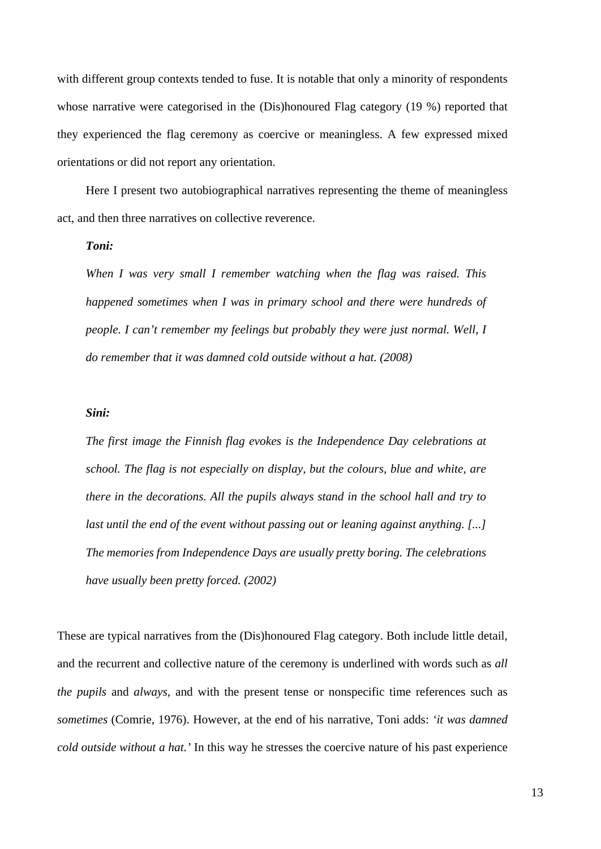with different group contexts tended to fuse. It is notable that only a minority of respondents whose narrative were categorised in the (Dis)honoured Flag category (19 %) reported that they experienced the flag ceremony as coercive or meaningless. A few expressed mixed orientations or did not report any orientation.

Here I present two autobiographical narratives representing the theme of meaningless act, and then three narratives on collective reverence.

#### *Toni:*

*When I was very small I remember watching when the flag was raised. This happened sometimes when I was in primary school and there were hundreds of people. I can't remember my feelings but probably they were just normal. Well, I do remember that it was damned cold outside without a hat. (2008)*

#### *Sini:*

*The first image the Finnish flag evokes is the Independence Day celebrations at school. The flag is not especially on display, but the colours, blue and white, are there in the decorations. All the pupils always stand in the school hall and try to last until the end of the event without passing out or leaning against anything. [...] The memories from Independence Days are usually pretty boring. The celebrations have usually been pretty forced. (2002)*

These are typical narratives from the (Dis)honoured Flag category. Both include little detail, and the recurrent and collective nature of the ceremony is underlined with words such as *all the pupils* and *always*, and with the present tense or nonspecific time references such as *sometimes* (Comrie, 1976). However, at the end of his narrative, Toni adds: *'it was damned cold outside without a hat.'* In this way he stresses the coercive nature of his past experience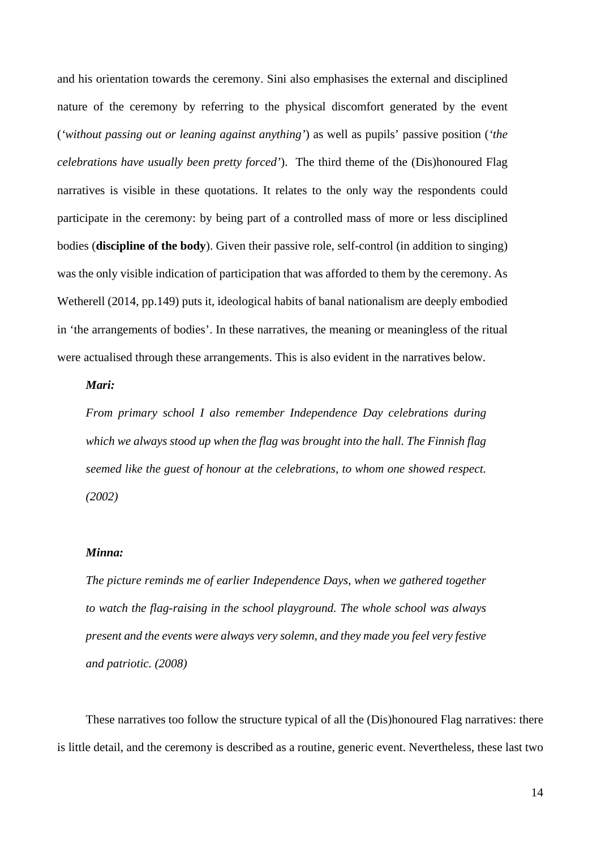and his orientation towards the ceremony. Sini also emphasises the external and disciplined nature of the ceremony by referring to the physical discomfort generated by the event (*'without passing out or leaning against anything'*) as well as pupils' passive position (*'the celebrations have usually been pretty forced'*). The third theme of the (Dis)honoured Flag narratives is visible in these quotations. It relates to the only way the respondents could participate in the ceremony: by being part of a controlled mass of more or less disciplined bodies (**discipline of the body**). Given their passive role, self-control (in addition to singing) was the only visible indication of participation that was afforded to them by the ceremony. As Wetherell (2014, pp.149) puts it, ideological habits of banal nationalism are deeply embodied in 'the arrangements of bodies'. In these narratives, the meaning or meaningless of the ritual were actualised through these arrangements. This is also evident in the narratives below.

#### *Mari:*

*From primary school I also remember Independence Day celebrations during which we always stood up when the flag was brought into the hall. The Finnish flag seemed like the guest of honour at the celebrations, to whom one showed respect. (2002)*

#### *Minna:*

*The picture reminds me of earlier Independence Days, when we gathered together to watch the flag-raising in the school playground. The whole school was always present and the events were always very solemn, and they made you feel very festive and patriotic. (2008)*

These narratives too follow the structure typical of all the (Dis)honoured Flag narratives: there is little detail, and the ceremony is described as a routine, generic event. Nevertheless, these last two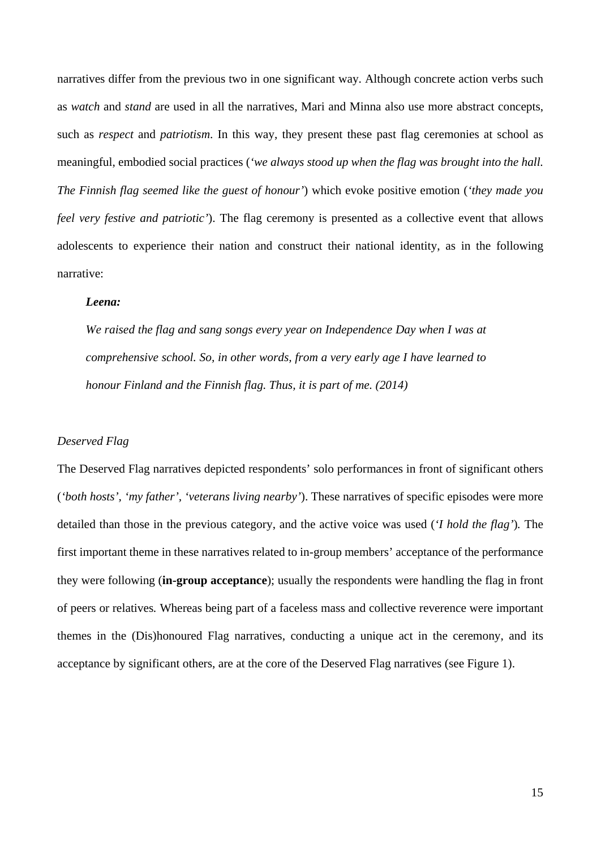narratives differ from the previous two in one significant way. Although concrete action verbs such as *watch* and *stand* are used in all the narratives, Mari and Minna also use more abstract concepts, such as *respect* and *patriotism*. In this way, they present these past flag ceremonies at school as meaningful, embodied social practices (*'we always stood up when the flag was brought into the hall. The Finnish flag seemed like the guest of honour'*) which evoke positive emotion (*'they made you feel very festive and patriotic'*). The flag ceremony is presented as a collective event that allows adolescents to experience their nation and construct their national identity, as in the following narrative:

# *Leena:*

*We raised the flag and sang songs every year on Independence Day when I was at comprehensive school. So, in other words, from a very early age I have learned to honour Finland and the Finnish flag. Thus, it is part of me. (2014)*

## *Deserved Flag*

The Deserved Flag narratives depicted respondents' solo performances in front of significant others (*'both hosts', 'my father', 'veterans living nearby'*). These narratives of specific episodes were more detailed than those in the previous category, and the active voice was used (*'I hold the flag'*)*.* The first important theme in these narratives related to in-group members' acceptance of the performance they were following (**in-group acceptance**); usually the respondents were handling the flag in front of peers or relatives*.* Whereas being part of a faceless mass and collective reverence were important themes in the (Dis)honoured Flag narratives, conducting a unique act in the ceremony, and its acceptance by significant others, are at the core of the Deserved Flag narratives (see Figure 1).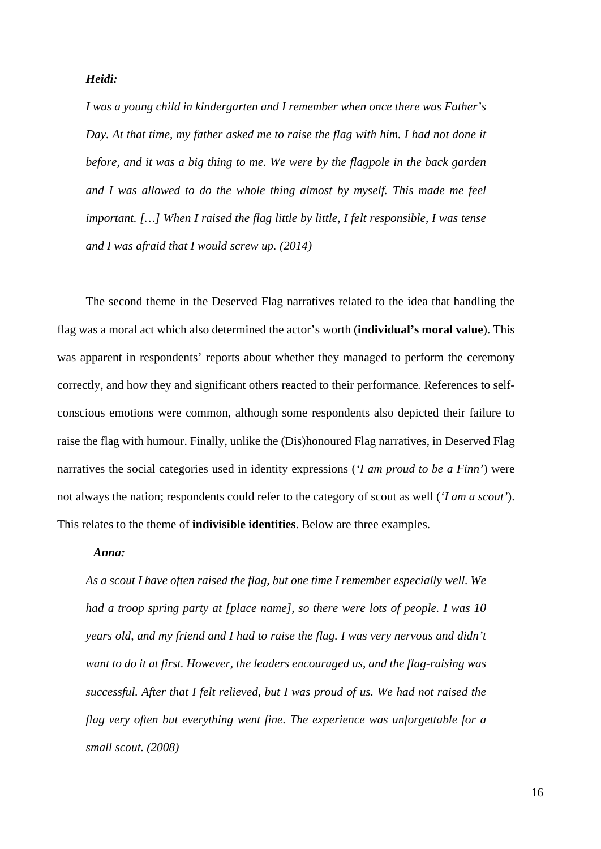## *Heidi:*

*I was a young child in kindergarten and I remember when once there was Father's Day. At that time, my father asked me to raise the flag with him. I had not done it before, and it was a big thing to me. We were by the flagpole in the back garden and I was allowed to do the whole thing almost by myself. This made me feel important. […] When I raised the flag little by little, I felt responsible, I was tense and I was afraid that I would screw up. (2014)*

The second theme in the Deserved Flag narratives related to the idea that handling the flag was a moral act which also determined the actor's worth (**individual's moral value**). This was apparent in respondents' reports about whether they managed to perform the ceremony correctly, and how they and significant others reacted to their performance*.* References to selfconscious emotions were common, although some respondents also depicted their failure to raise the flag with humour. Finally, unlike the (Dis)honoured Flag narratives, in Deserved Flag narratives the social categories used in identity expressions (*'I am proud to be a Finn'*) were not always the nation; respondents could refer to the category of scout as well (*'I am a scout'*). This relates to the theme of **indivisible identities**. Below are three examples.

## *Anna:*

*As a scout I have often raised the flag, but one time I remember especially well. We had a troop spring party at [place name], so there were lots of people. I was 10 years old, and my friend and I had to raise the flag. I was very nervous and didn't want to do it at first. However, the leaders encouraged us, and the flag-raising was successful. After that I felt relieved, but I was proud of us. We had not raised the flag very often but everything went fine. The experience was unforgettable for a small scout. (2008)*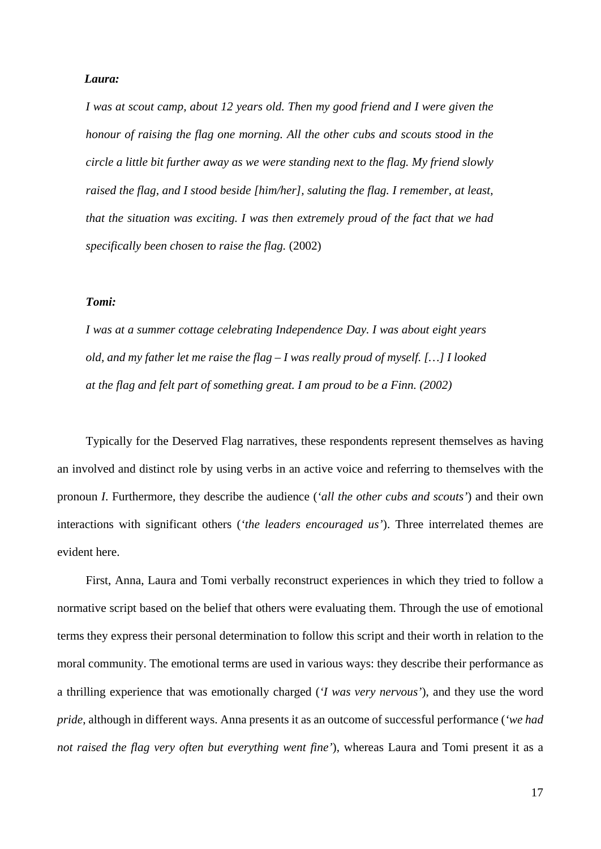#### *Laura:*

*I was at scout camp, about 12 years old. Then my good friend and I were given the honour of raising the flag one morning. All the other cubs and scouts stood in the circle a little bit further away as we were standing next to the flag. My friend slowly raised the flag, and I stood beside [him/her], saluting the flag. I remember, at least, that the situation was exciting. I was then extremely proud of the fact that we had specifically been chosen to raise the flag.* (2002)

# *Tomi:*

*I was at a summer cottage celebrating Independence Day. I was about eight years old, and my father let me raise the flag – I was really proud of myself. […] I looked at the flag and felt part of something great. I am proud to be a Finn. (2002)*

Typically for the Deserved Flag narratives, these respondents represent themselves as having an involved and distinct role by using verbs in an active voice and referring to themselves with the pronoun *I*. Furthermore, they describe the audience (*'all the other cubs and scouts'*) and their own interactions with significant others (*'the leaders encouraged us'*). Three interrelated themes are evident here.

First, Anna, Laura and Tomi verbally reconstruct experiences in which they tried to follow a normative script based on the belief that others were evaluating them. Through the use of emotional terms they express their personal determination to follow this script and their worth in relation to the moral community. The emotional terms are used in various ways: they describe their performance as a thrilling experience that was emotionally charged (*'I was very nervous'*), and they use the word *pride*, although in different ways. Anna presents it as an outcome of successful performance (*'we had not raised the flag very often but everything went fine'*), whereas Laura and Tomi present it as a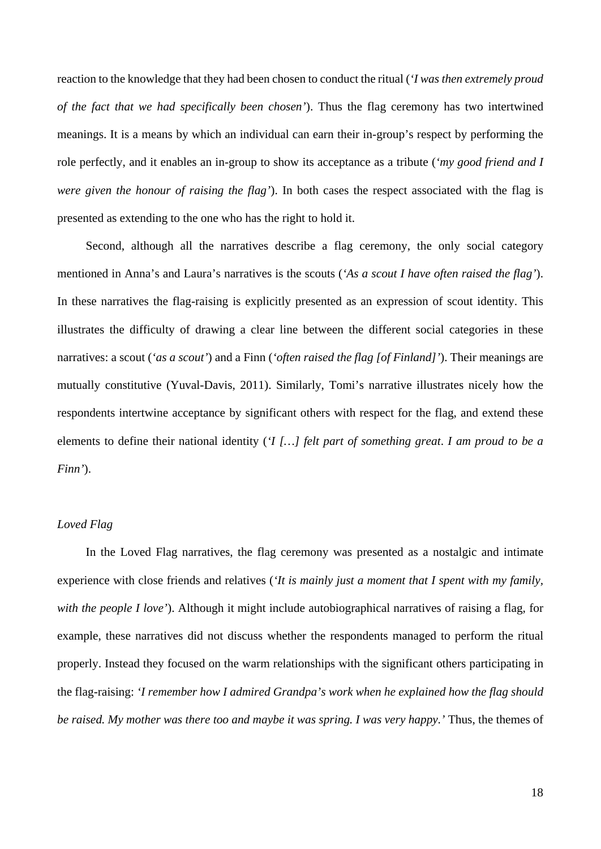reaction to the knowledge that they had been chosen to conduct the ritual (*'I was then extremely proud of the fact that we had specifically been chosen'*). Thus the flag ceremony has two intertwined meanings. It is a means by which an individual can earn their in-group's respect by performing the role perfectly, and it enables an in-group to show its acceptance as a tribute (*'my good friend and I were given the honour of raising the flag'*). In both cases the respect associated with the flag is presented as extending to the one who has the right to hold it.

Second, although all the narratives describe a flag ceremony, the only social category mentioned in Anna's and Laura's narratives is the scouts (*'As a scout I have often raised the flag'*). In these narratives the flag-raising is explicitly presented as an expression of scout identity. This illustrates the difficulty of drawing a clear line between the different social categories in these narratives: a scout (*'as a scout'*) and a Finn (*'often raised the flag [of Finland]'*). Their meanings are mutually constitutive (Yuval-Davis, 2011). Similarly, Tomi's narrative illustrates nicely how the respondents intertwine acceptance by significant others with respect for the flag, and extend these elements to define their national identity (*'I […] felt part of something great*. *I am proud to be a Finn'*).

# *Loved Flag*

In the Loved Flag narratives, the flag ceremony was presented as a nostalgic and intimate experience with close friends and relatives (*'It is mainly just a moment that I spent with my family, with the people I love'*). Although it might include autobiographical narratives of raising a flag, for example, these narratives did not discuss whether the respondents managed to perform the ritual properly. Instead they focused on the warm relationships with the significant others participating in the flag-raising: *'I remember how I admired Grandpa's work when he explained how the flag should be raised. My mother was there too and maybe it was spring. I was very happy.'* Thus, the themes of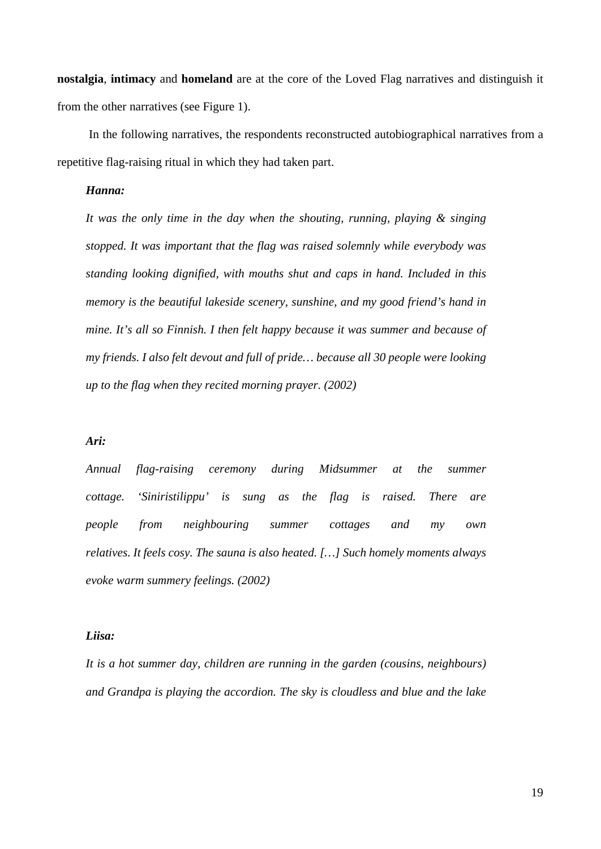**nostalgia**, **intimacy** and **homeland** are at the core of the Loved Flag narratives and distinguish it from the other narratives (see Figure 1).

In the following narratives, the respondents reconstructed autobiographical narratives from a repetitive flag-raising ritual in which they had taken part.

## *Hanna:*

*It was the only time in the day when the shouting, running, playing & singing stopped. It was important that the flag was raised solemnly while everybody was standing looking dignified, with mouths shut and caps in hand. Included in this memory is the beautiful lakeside scenery, sunshine, and my good friend's hand in mine. It's all so Finnish. I then felt happy because it was summer and because of my friends. I also felt devout and full of pride… because all 30 people were looking up to the flag when they recited morning prayer. (2002)*

## *Ari:*

*Annual flag-raising ceremony during Midsummer at the summer cottage. 'Siniristilippu' is sung as the flag is raised. There are people from neighbouring summer cottages and my own relatives. It feels cosy. The sauna is also heated. […] Such homely moments always evoke warm summery feelings. (2002)*

#### *Liisa:*

*It is a hot summer day, children are running in the garden (cousins, neighbours) and Grandpa is playing the accordion. The sky is cloudless and blue and the lake*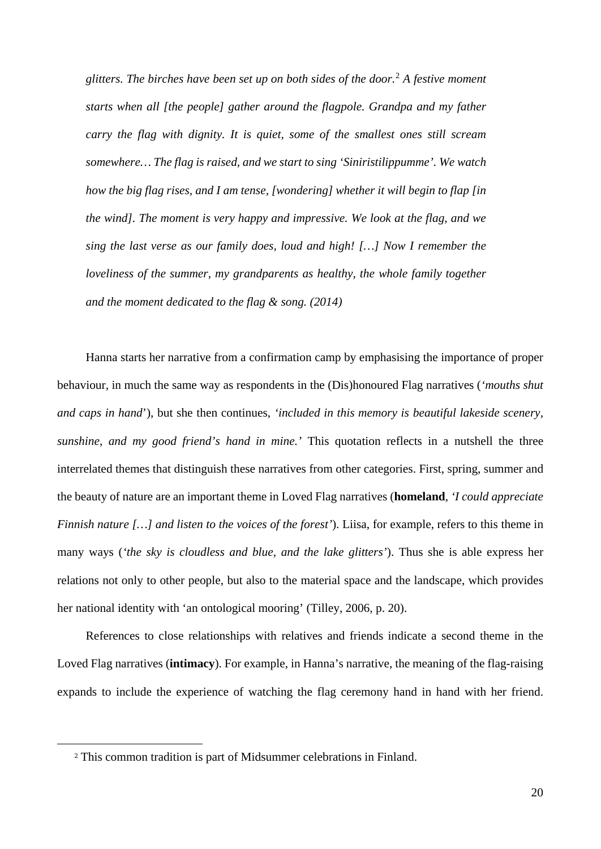*glitters. The birches have been set up on both sides of the door.* [2](#page-19-0) *A festive moment starts when all [the people] gather around the flagpole. Grandpa and my father carry the flag with dignity. It is quiet, some of the smallest ones still scream somewhere… The flag is raised, and we start to sing 'Siniristilippumme'. We watch how the big flag rises, and I am tense, [wondering] whether it will begin to flap [in the wind]. The moment is very happy and impressive. We look at the flag, and we sing the last verse as our family does, loud and high! […] Now I remember the loveliness of the summer, my grandparents as healthy, the whole family together and the moment dedicated to the flag & song. (2014)*

Hanna starts her narrative from a confirmation camp by emphasising the importance of proper behaviour, in much the same way as respondents in the (Dis)honoured Flag narratives (*'mouths shut and caps in hand*'), but she then continues, *'included in this memory is beautiful lakeside scenery, sunshine, and my good friend's hand in mine.'* This quotation reflects in a nutshell the three interrelated themes that distinguish these narratives from other categories. First, spring, summer and the beauty of nature are an important theme in Loved Flag narratives (**homeland**, *'I could appreciate Finnish nature […] and listen to the voices of the forest'*). Liisa, for example, refers to this theme in many ways (*'the sky is cloudless and blue, and the lake glitters'*). Thus she is able express her relations not only to other people, but also to the material space and the landscape, which provides her national identity with 'an ontological mooring' (Tilley, 2006, p. 20).

References to close relationships with relatives and friends indicate a second theme in the Loved Flag narratives (**intimacy**). For example, in Hanna's narrative, the meaning of the flag-raising expands to include the experience of watching the flag ceremony hand in hand with her friend.

<span id="page-19-0"></span><u>.</u>

<sup>2</sup> This common tradition is part of Midsummer celebrations in Finland.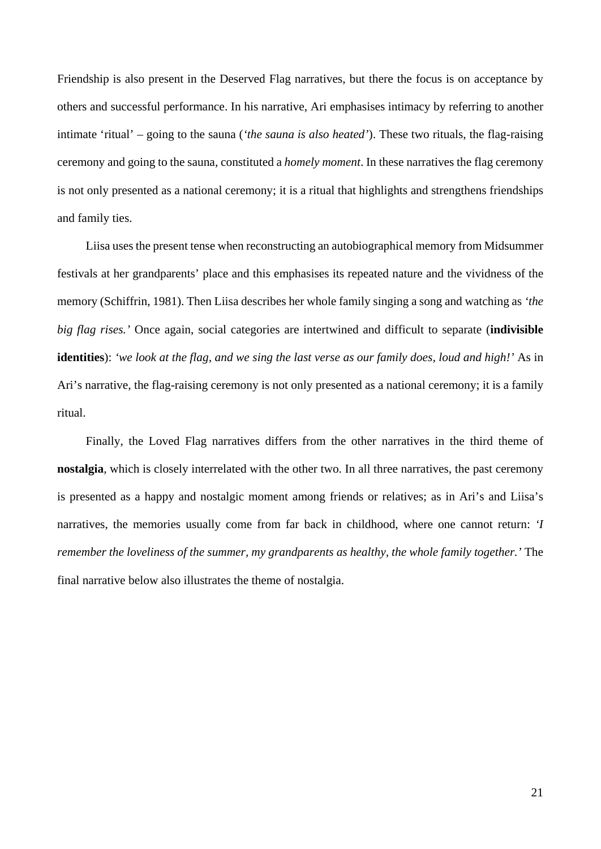Friendship is also present in the Deserved Flag narratives, but there the focus is on acceptance by others and successful performance. In his narrative, Ari emphasises intimacy by referring to another intimate 'ritual' – going to the sauna (*'the sauna is also heated'*). These two rituals, the flag-raising ceremony and going to the sauna, constituted a *homely moment*. In these narratives the flag ceremony is not only presented as a national ceremony; it is a ritual that highlights and strengthens friendships and family ties.

Liisa uses the present tense when reconstructing an autobiographical memory from Midsummer festivals at her grandparents' place and this emphasises its repeated nature and the vividness of the memory (Schiffrin, 1981). Then Liisa describes her whole family singing a song and watching as *'the big flag rises.'* Once again, social categories are intertwined and difficult to separate (**indivisible identities**): *'we look at the flag, and we sing the last verse as our family does, loud and high!'* As in Ari's narrative, the flag-raising ceremony is not only presented as a national ceremony; it is a family ritual.

Finally, the Loved Flag narratives differs from the other narratives in the third theme of **nostalgia**, which is closely interrelated with the other two. In all three narratives, the past ceremony is presented as a happy and nostalgic moment among friends or relatives; as in Ari's and Liisa's narratives, the memories usually come from far back in childhood, where one cannot return: *'I remember the loveliness of the summer, my grandparents as healthy, the whole family together.'* The final narrative below also illustrates the theme of nostalgia.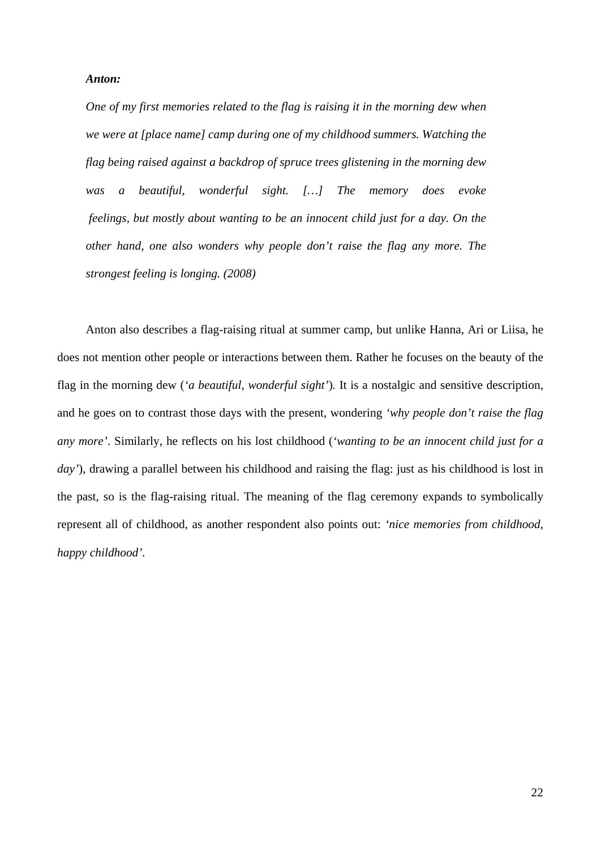#### *Anton:*

*One of my first memories related to the flag is raising it in the morning dew when we were at [place name] camp during one of my childhood summers. Watching the flag being raised against a backdrop of spruce trees glistening in the morning dew was a beautiful, wonderful sight. […] The memory does evoke feelings, but mostly about wanting to be an innocent child just for a day. On the other hand, one also wonders why people don't raise the flag any more. The strongest feeling is longing. (2008)*

Anton also describes a flag-raising ritual at summer camp, but unlike Hanna, Ari or Liisa, he does not mention other people or interactions between them. Rather he focuses on the beauty of the flag in the morning dew (*'a beautiful, wonderful sight'*)*.* It is a nostalgic and sensitive description, and he goes on to contrast those days with the present, wondering *'why people don't raise the flag any more'*. Similarly, he reflects on his lost childhood (*'wanting to be an innocent child just for a day'*), drawing a parallel between his childhood and raising the flag: just as his childhood is lost in the past, so is the flag-raising ritual. The meaning of the flag ceremony expands to symbolically represent all of childhood, as another respondent also points out: *'nice memories from childhood, happy childhood'.*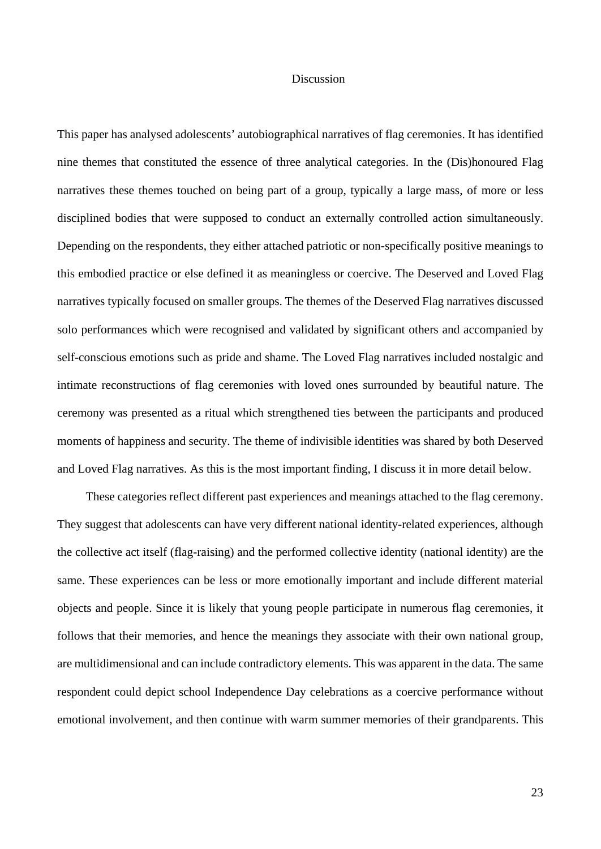#### **Discussion**

This paper has analysed adolescents' autobiographical narratives of flag ceremonies. It has identified nine themes that constituted the essence of three analytical categories. In the (Dis)honoured Flag narratives these themes touched on being part of a group, typically a large mass, of more or less disciplined bodies that were supposed to conduct an externally controlled action simultaneously. Depending on the respondents, they either attached patriotic or non-specifically positive meanings to this embodied practice or else defined it as meaningless or coercive. The Deserved and Loved Flag narratives typically focused on smaller groups. The themes of the Deserved Flag narratives discussed solo performances which were recognised and validated by significant others and accompanied by self-conscious emotions such as pride and shame. The Loved Flag narratives included nostalgic and intimate reconstructions of flag ceremonies with loved ones surrounded by beautiful nature. The ceremony was presented as a ritual which strengthened ties between the participants and produced moments of happiness and security. The theme of indivisible identities was shared by both Deserved and Loved Flag narratives. As this is the most important finding, I discuss it in more detail below.

These categories reflect different past experiences and meanings attached to the flag ceremony. They suggest that adolescents can have very different national identity-related experiences, although the collective act itself (flag-raising) and the performed collective identity (national identity) are the same. These experiences can be less or more emotionally important and include different material objects and people. Since it is likely that young people participate in numerous flag ceremonies, it follows that their memories, and hence the meanings they associate with their own national group, are multidimensional and can include contradictory elements. This was apparent in the data. The same respondent could depict school Independence Day celebrations as a coercive performance without emotional involvement, and then continue with warm summer memories of their grandparents. This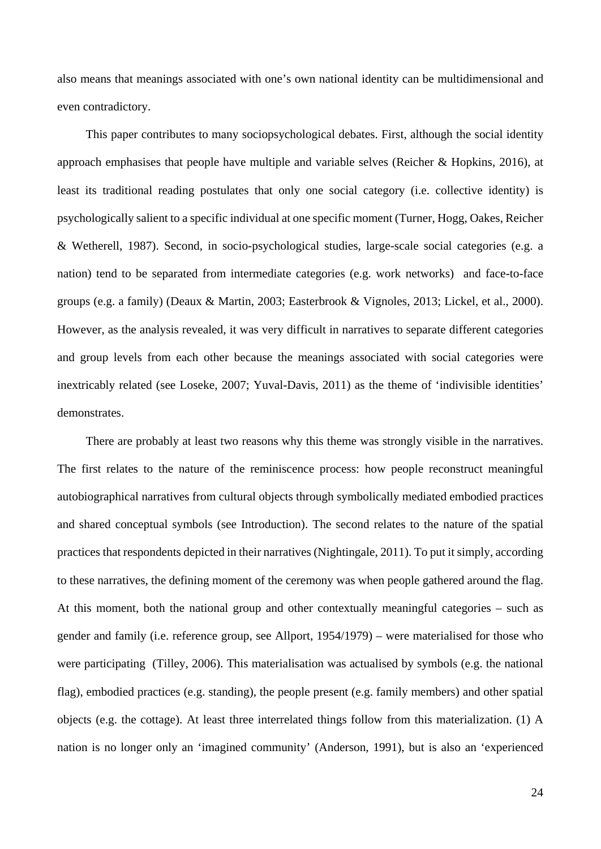also means that meanings associated with one's own national identity can be multidimensional and even contradictory.

This paper contributes to many sociopsychological debates. First, although the social identity approach emphasises that people have multiple and variable selves (Reicher & Hopkins, 2016), at least its traditional reading postulates that only one social category (i.e. collective identity) is psychologically salient to a specific individual at one specific moment (Turner, Hogg, Oakes, Reicher & Wetherell, 1987). Second, in socio-psychological studies, large-scale social categories (e.g. a nation) tend to be separated from intermediate categories (e.g. work networks) and face-to-face groups (e.g. a family) (Deaux & Martin, 2003; Easterbrook & Vignoles, 2013; Lickel, et al., 2000). However, as the analysis revealed, it was very difficult in narratives to separate different categories and group levels from each other because the meanings associated with social categories were inextricably related (see Loseke, 2007; Yuval-Davis, 2011) as the theme of 'indivisible identities' demonstrates.

There are probably at least two reasons why this theme was strongly visible in the narratives. The first relates to the nature of the reminiscence process: how people reconstruct meaningful autobiographical narratives from cultural objects through symbolically mediated embodied practices and shared conceptual symbols (see Introduction). The second relates to the nature of the spatial practices that respondents depicted in their narratives (Nightingale, 2011). To put it simply, according to these narratives, the defining moment of the ceremony was when people gathered around the flag. At this moment, both the national group and other contextually meaningful categories – such as gender and family (i.e. reference group, see Allport, 1954/1979) – were materialised for those who were participating (Tilley, 2006). This materialisation was actualised by symbols (e.g. the national flag), embodied practices (e.g. standing), the people present (e.g. family members) and other spatial objects (e.g. the cottage). At least three interrelated things follow from this materialization. (1) A nation is no longer only an 'imagined community' (Anderson, 1991), but is also an 'experienced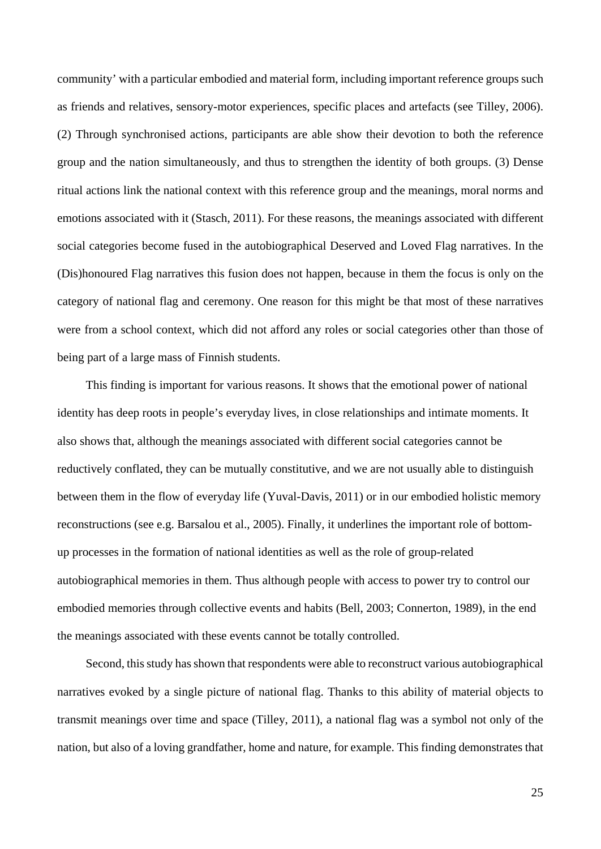community' with a particular embodied and material form, including important reference groups such as friends and relatives, sensory-motor experiences, specific places and artefacts (see Tilley, 2006). (2) Through synchronised actions, participants are able show their devotion to both the reference group and the nation simultaneously, and thus to strengthen the identity of both groups. (3) Dense ritual actions link the national context with this reference group and the meanings, moral norms and emotions associated with it (Stasch, 2011). For these reasons, the meanings associated with different social categories become fused in the autobiographical Deserved and Loved Flag narratives. In the (Dis)honoured Flag narratives this fusion does not happen, because in them the focus is only on the category of national flag and ceremony. One reason for this might be that most of these narratives were from a school context, which did not afford any roles or social categories other than those of being part of a large mass of Finnish students.

This finding is important for various reasons. It shows that the emotional power of national identity has deep roots in people's everyday lives, in close relationships and intimate moments. It also shows that, although the meanings associated with different social categories cannot be reductively conflated, they can be mutually constitutive, and we are not usually able to distinguish between them in the flow of everyday life (Yuval-Davis, 2011) or in our embodied holistic memory reconstructions (see e.g. Barsalou et al., 2005). Finally, it underlines the important role of bottomup processes in the formation of national identities as well as the role of group-related autobiographical memories in them. Thus although people with access to power try to control our embodied memories through collective events and habits (Bell, 2003; Connerton, 1989), in the end the meanings associated with these events cannot be totally controlled.

Second, this study has shown that respondents were able to reconstruct various autobiographical narratives evoked by a single picture of national flag. Thanks to this ability of material objects to transmit meanings over time and space (Tilley, 2011), a national flag was a symbol not only of the nation, but also of a loving grandfather, home and nature, for example. This finding demonstrates that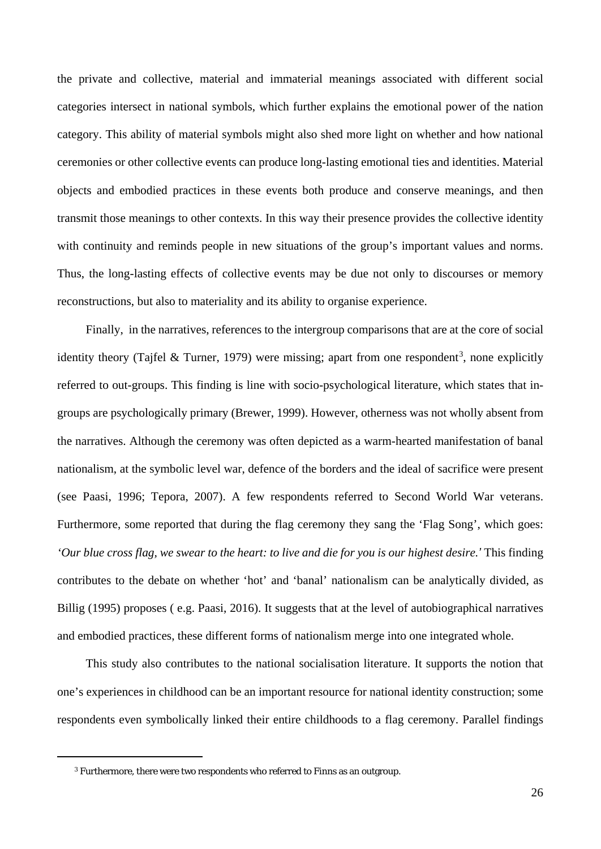the private and collective, material and immaterial meanings associated with different social categories intersect in national symbols, which further explains the emotional power of the nation category. This ability of material symbols might also shed more light on whether and how national ceremonies or other collective events can produce long-lasting emotional ties and identities. Material objects and embodied practices in these events both produce and conserve meanings, and then transmit those meanings to other contexts. In this way their presence provides the collective identity with continuity and reminds people in new situations of the group's important values and norms. Thus, the long-lasting effects of collective events may be due not only to discourses or memory reconstructions, but also to materiality and its ability to organise experience.

Finally, in the narratives, references to the intergroup comparisons that are at the core of social identity theory (Tajfel & Turner, 1979) were missing; apart from one respondent<sup>[3](#page-25-0)</sup>, none explicitly referred to out-groups. This finding is line with socio-psychological literature, which states that ingroups are psychologically primary (Brewer, 1999). However, otherness was not wholly absent from the narratives. Although the ceremony was often depicted as a warm-hearted manifestation of banal nationalism, at the symbolic level war, defence of the borders and the ideal of sacrifice were present (see Paasi, 1996; Tepora, 2007). A few respondents referred to Second World War veterans. Furthermore, some reported that during the flag ceremony they sang the 'Flag Song', which goes: *'Our blue cross flag, we swear to the heart: to live and die for you is our highest desire.'* This finding contributes to the debate on whether 'hot' and 'banal' nationalism can be analytically divided, as Billig (1995) proposes ( e.g. Paasi, 2016). It suggests that at the level of autobiographical narratives and embodied practices, these different forms of nationalism merge into one integrated whole.

This study also contributes to the national socialisation literature. It supports the notion that one's experiences in childhood can be an important resource for national identity construction; some respondents even symbolically linked their entire childhoods to a flag ceremony. Parallel findings

<span id="page-25-0"></span>-

<sup>&</sup>lt;sup>3</sup> Furthermore, there were two respondents who referred to Finns as an outgroup.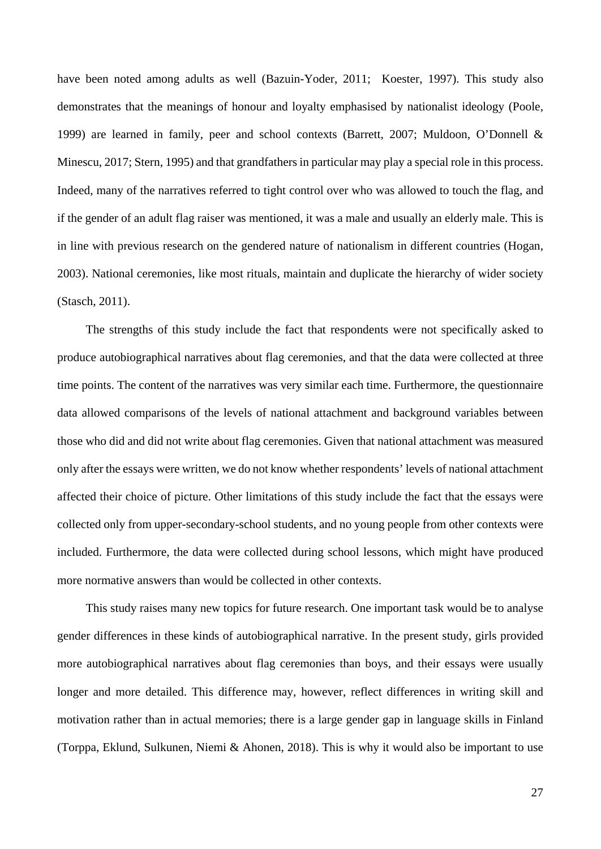have been noted among adults as well (Bazuin-Yoder, 2011; Koester, 1997). This study also demonstrates that the meanings of honour and loyalty emphasised by nationalist ideology (Poole, 1999) are learned in family, peer and school contexts (Barrett, 2007; Muldoon, O'Donnell & Minescu, 2017; Stern, 1995) and that grandfathers in particular may play a special role in this process. Indeed, many of the narratives referred to tight control over who was allowed to touch the flag, and if the gender of an adult flag raiser was mentioned, it was a male and usually an elderly male. This is in line with previous research on the gendered nature of nationalism in different countries (Hogan, 2003). National ceremonies, like most rituals, maintain and duplicate the hierarchy of wider society (Stasch, 2011).

The strengths of this study include the fact that respondents were not specifically asked to produce autobiographical narratives about flag ceremonies, and that the data were collected at three time points. The content of the narratives was very similar each time. Furthermore, the questionnaire data allowed comparisons of the levels of national attachment and background variables between those who did and did not write about flag ceremonies. Given that national attachment was measured only after the essays were written, we do not know whether respondents' levels of national attachment affected their choice of picture. Other limitations of this study include the fact that the essays were collected only from upper-secondary-school students, and no young people from other contexts were included. Furthermore, the data were collected during school lessons, which might have produced more normative answers than would be collected in other contexts.

This study raises many new topics for future research. One important task would be to analyse gender differences in these kinds of autobiographical narrative. In the present study, girls provided more autobiographical narratives about flag ceremonies than boys, and their essays were usually longer and more detailed. This difference may, however, reflect differences in writing skill and motivation rather than in actual memories; there is a large gender gap in language skills in Finland (Torppa, Eklund, Sulkunen, Niemi & Ahonen, 2018). This is why it would also be important to use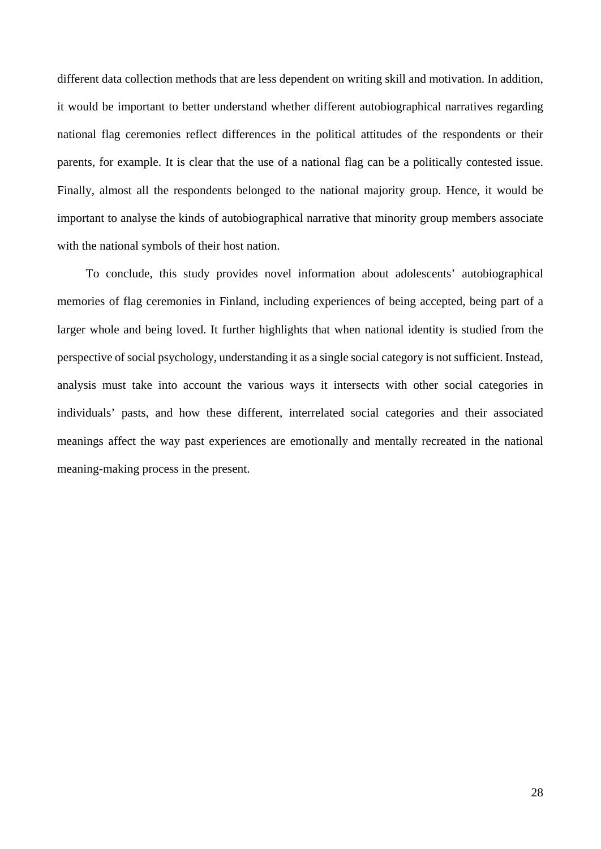different data collection methods that are less dependent on writing skill and motivation. In addition, it would be important to better understand whether different autobiographical narratives regarding national flag ceremonies reflect differences in the political attitudes of the respondents or their parents, for example. It is clear that the use of a national flag can be a politically contested issue. Finally, almost all the respondents belonged to the national majority group. Hence, it would be important to analyse the kinds of autobiographical narrative that minority group members associate with the national symbols of their host nation.

To conclude, this study provides novel information about adolescents' autobiographical memories of flag ceremonies in Finland, including experiences of being accepted, being part of a larger whole and being loved. It further highlights that when national identity is studied from the perspective of social psychology, understanding it as a single social category is not sufficient. Instead, analysis must take into account the various ways it intersects with other social categories in individuals' pasts, and how these different, interrelated social categories and their associated meanings affect the way past experiences are emotionally and mentally recreated in the national meaning-making process in the present.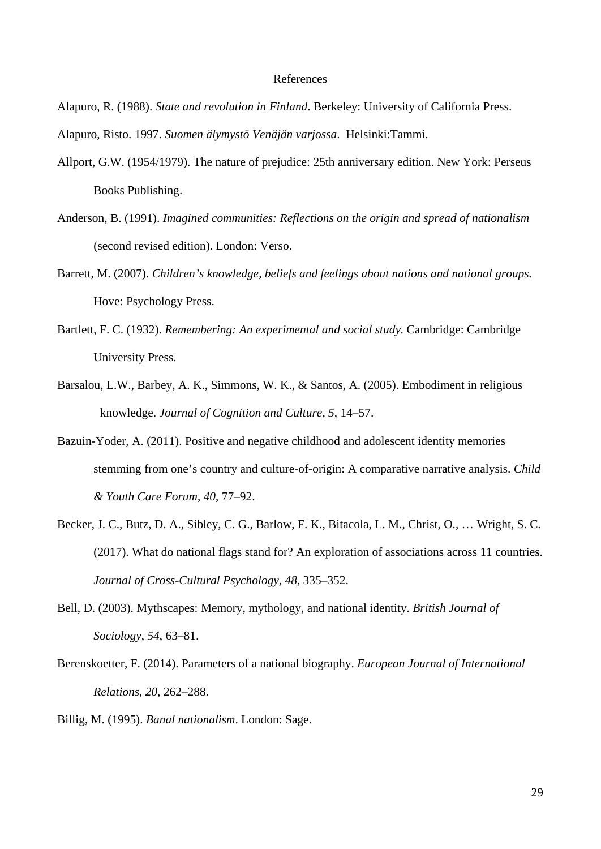## References

Alapuro, R. (1988). *State and revolution in Finland*. Berkeley: University of California Press.

- Alapuro, Risto. 1997. *Suomen älymystö Venäjän varjossa*. Helsinki:Tammi.
- Allport, G.W. (1954/1979). The nature of prejudice: 25th anniversary edition. New York: Perseus Books Publishing.
- Anderson, B. (1991). *Imagined communities: Reflections on the origin and spread of nationalism* (second revised edition). London: Verso.
- Barrett, M. (2007). *Children's knowledge, beliefs and feelings about nations and national groups.* Hove: Psychology Press.
- Bartlett, F. C. (1932). *Remembering: An experimental and social study.* Cambridge: Cambridge University Press.
- Barsalou, L.W., Barbey, A. K., Simmons, W. K., & Santos, A. (2005). Embodiment in religious knowledge. *Journal of Cognition and Culture*, *5*, 14–57.
- Bazuin-Yoder, A. (2011). Positive and negative childhood and adolescent identity memories stemming from one's country and culture-of-origin: A comparative narrative analysis. *Child & Youth Care Forum*, *40*, 77–92.
- Becker, J. C., Butz, D. A., Sibley, C. G., Barlow, F. K., Bitacola, L. M., Christ, O., … Wright, S. C. (2017). What do national flags stand for? An exploration of associations across 11 countries. *Journal of Cross-Cultural Psychology*, *48*, 335–352.
- Bell, D. (2003). Mythscapes: Memory, mythology, and national identity. *British Journal of Sociology*, *54*, 63–81.
- Berenskoetter, F. (2014). Parameters of a national biography. *European Journal of International Relations*, *20*, 262–288.
- Billig, M. (1995). *Banal nationalism*. London: Sage.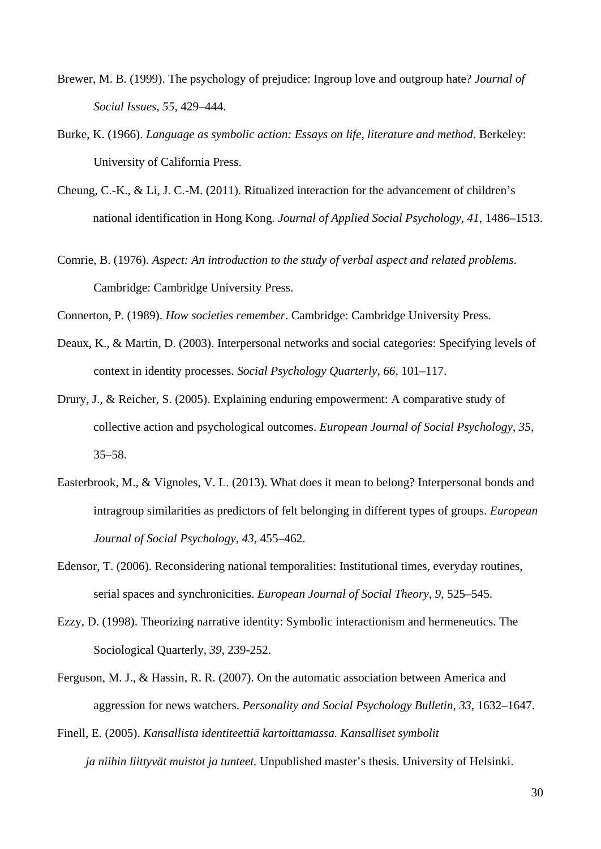- Brewer, M. B. (1999). The psychology of prejudice: Ingroup love and outgroup hate? *Journal of Social Issues*, *55*, 429–444.
- Burke, K. (1966). *Language as symbolic action: Essays on life, literature and method*. Berkeley: University of California Press.
- Cheung, C.-K., & Li, J. C.-M. (2011). Ritualized interaction for the advancement of children's national identification in Hong Kong. *Journal of Applied Social Psychology*, *41*, 1486–1513.
- Comrie, B. (1976). *Aspect: An introduction to the study of verbal aspect and related problems*. Cambridge: Cambridge University Press.
- Connerton, P. (1989). *How societies remember*. Cambridge: Cambridge University Press.
- Deaux, K., & Martin, D. (2003). Interpersonal networks and social categories: Specifying levels of context in identity processes. *Social Psychology Quarterly*, *66*, 101–117.
- Drury, J., & Reicher, S. (2005). Explaining enduring empowerment: A comparative study of collective action and psychological outcomes. *European Journal of Social Psychology*, *35*, 35–58.
- Easterbrook, M., & Vignoles, V. L. (2013). What does it mean to belong? Interpersonal bonds and intragroup similarities as predictors of felt belonging in different types of groups. *European Journal of Social Psychology*, *43*, 455–462.
- Edensor, T. (2006). Reconsidering national temporalities: Institutional times, everyday routines, serial spaces and synchronicities. *European Journal of Social Theory*, *9*, 525–545.
- Ezzy, D. (1998). Theorizing narrative identity: Symbolic interactionism and hermeneutics. The Sociological Quarterly, *39*, 239-252.
- Ferguson, M. J., & Hassin, R. R. (2007). On the automatic association between America and aggression for news watchers. *Personality and Social Psychology Bulletin*, *33*, 1632–1647.

Finell, E. (2005). *Kansallista identiteettiä kartoittamassa. Kansalliset symbolit ja niihin liittyvät muistot ja tunteet.* Unpublished master's thesis. University of Helsinki.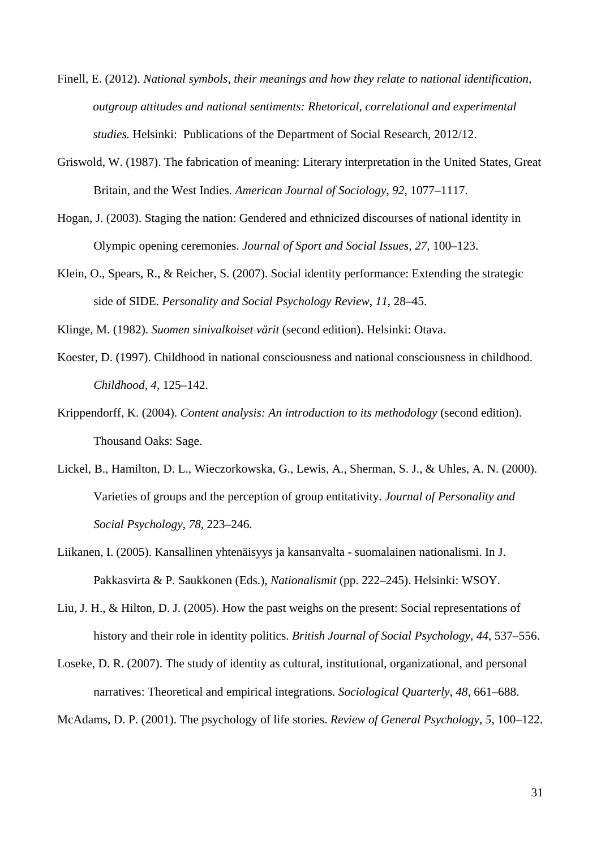- Finell, E. (2012). *National symbols, their meanings and how they relate to national identification, outgroup attitudes and national sentiments: Rhetorical, correlational and experimental studies.* Helsinki: Publications of the Department of Social Research, 2012/12.
- Griswold, W. (1987). The fabrication of meaning: Literary interpretation in the United States, Great Britain, and the West Indies. *American Journal of Sociology*, *92*, 1077–1117.
- Hogan, J. (2003). Staging the nation: Gendered and ethnicized discourses of national identity in Olympic opening ceremonies. *Journal of Sport and Social Issues*, *27*, 100–123.
- Klein, O., Spears, R., & Reicher, S. (2007). Social identity performance: Extending the strategic side of SIDE. *Personality and Social Psychology Review*, *11*, 28–45.

Klinge, M. (1982). *Suomen sinivalkoiset värit* (second edition). Helsinki: Otava.

- Koester, D. (1997). Childhood in national consciousness and national consciousness in childhood. *Childhood*, *4*, 125–142.
- Krippendorff, K. (2004). *Content analysis: An introduction to its methodology* (second edition). Thousand Oaks: Sage.
- Lickel, B., Hamilton, D. L., Wieczorkowska, G., Lewis, A., Sherman, S. J., & Uhles, A. N. (2000). Varieties of groups and the perception of group entitativity. *Journal of Personality and Social Psychology*, *78*, 223–246.
- Liikanen, I. (2005). Kansallinen yhtenäisyys ja kansanvalta suomalainen nationalismi. In J. Pakkasvirta & P. Saukkonen (Eds.), *Nationalismit* (pp. 222–245). Helsinki: WSOY.
- Liu, J. H., & Hilton, D. J. (2005). How the past weighs on the present: Social representations of history and their role in identity politics. *British Journal of Social Psychology*, *44*, 537–556.
- Loseke, D. R. (2007). The study of identity as cultural, institutional, organizational, and personal narratives: Theoretical and empirical integrations. *Sociological Quarterly*, *48*, 661–688.

McAdams, D. P. (2001). The psychology of life stories. *Review of General Psychology*, *5*, 100–122.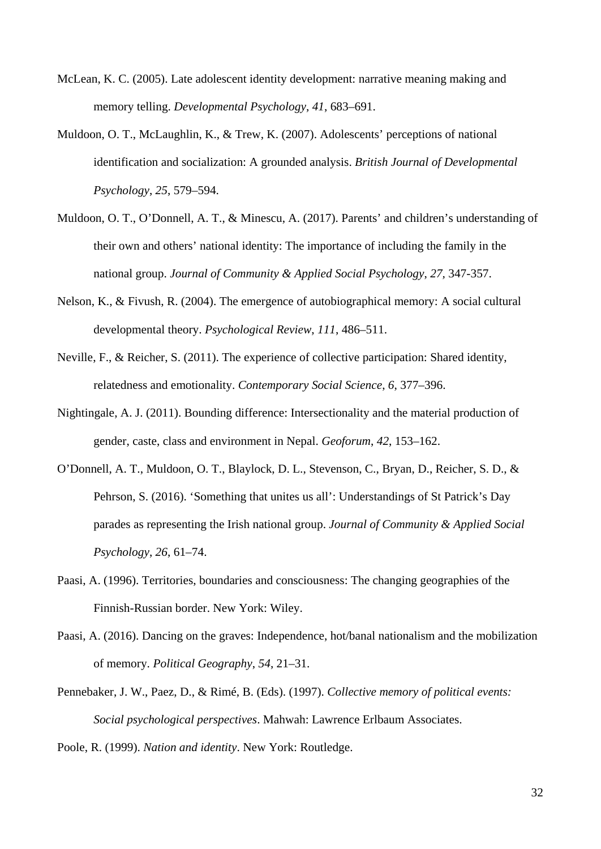- McLean, K. C. (2005). Late adolescent identity development: narrative meaning making and memory telling. *Developmental Psychology*, *41*, 683–691.
- Muldoon, O. T., McLaughlin, K., & Trew, K. (2007). Adolescents' perceptions of national identification and socialization: A grounded analysis. *British Journal of Developmental Psychology*, *25*, 579–594.
- Muldoon, O. T., O'Donnell, A. T., & Minescu, A. (2017). Parents' and children's understanding of their own and others' national identity: The importance of including the family in the national group. *Journal of Community & Applied Social Psychology*, *27,* 347-357.
- Nelson, K., & Fivush, R. (2004). The emergence of autobiographical memory: A social cultural developmental theory. *Psychological Review*, *111*, 486–511.
- Neville, F., & Reicher, S. (2011). The experience of collective participation: Shared identity, relatedness and emotionality. *Contemporary Social Science*, *6*, 377–396.
- Nightingale, A. J. (2011). Bounding difference: Intersectionality and the material production of gender, caste, class and environment in Nepal. *Geoforum*, *42*, 153–162.
- O'Donnell, A. T., Muldoon, O. T., Blaylock, D. L., Stevenson, C., Bryan, D., Reicher, S. D., & Pehrson, S. (2016). 'Something that unites us all': Understandings of St Patrick's Day parades as representing the Irish national group. *Journal of Community & Applied Social Psychology*, *26*, 61–74.
- Paasi, A. (1996). Territories, boundaries and consciousness: The changing geographies of the Finnish-Russian border. New York: Wiley.
- Paasi, A. (2016). Dancing on the graves: Independence, hot/banal nationalism and the mobilization of memory. *Political Geography*, *54*, 21–31.
- Pennebaker, J. W., Paez, D., & Rimé, B. (Eds). (1997). *Collective memory of political events: Social psychological perspectives*. Mahwah: Lawrence Erlbaum Associates.

Poole, R. (1999). *Nation and identity*. New York: Routledge.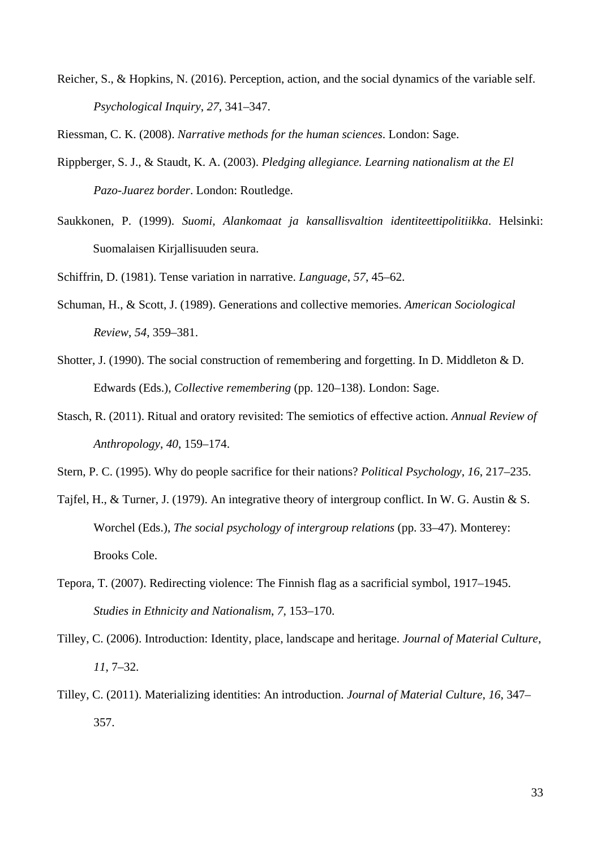Reicher, S., & Hopkins, N. (2016). Perception, action, and the social dynamics of the variable self. *Psychological Inquiry*, *27*, 341–347.

Riessman, C. K. (2008). *Narrative methods for the human sciences*. London: Sage.

- Rippberger, S. J., & Staudt, K. A. (2003). *Pledging allegiance. Learning nationalism at the El Pazo-Juarez border*. London: Routledge.
- Saukkonen, P. (1999). *Suomi, Alankomaat ja kansallisvaltion identiteettipolitiikka*. Helsinki: Suomalaisen Kirjallisuuden seura.
- Schiffrin, D. (1981). Tense variation in narrative. *Language*, *57*, 45–62.
- Schuman, H., & Scott, J. (1989). Generations and collective memories. *American Sociological Review*, *54*, 359–381.
- Shotter, J. (1990). The social construction of remembering and forgetting. In D. Middleton & D. Edwards (Eds.), *Collective remembering* (pp. 120–138). London: Sage.
- Stasch, R. (2011). Ritual and oratory revisited: The semiotics of effective action. *Annual Review of Anthropology*, *40*, 159–174.
- Stern, P. C. (1995). Why do people sacrifice for their nations? *Political Psychology*, *16*, 217–235.
- Tajfel, H., & Turner, J. (1979). An integrative theory of intergroup conflict. In W. G. Austin & S. Worchel (Eds.), *The social psychology of intergroup relations* (pp. 33–47). Monterey: Brooks Cole.
- Tepora, T. (2007). Redirecting violence: The Finnish flag as a sacrificial symbol, 1917–1945. *Studies in Ethnicity and Nationalism*, *7*, 153–170.
- Tilley, C. (2006). Introduction: Identity, place, landscape and heritage. *Journal of Material Culture*, *11*, 7–32.
- Tilley, C. (2011). Materializing identities: An introduction. *Journal of Material Culture*, *16*, 347– 357.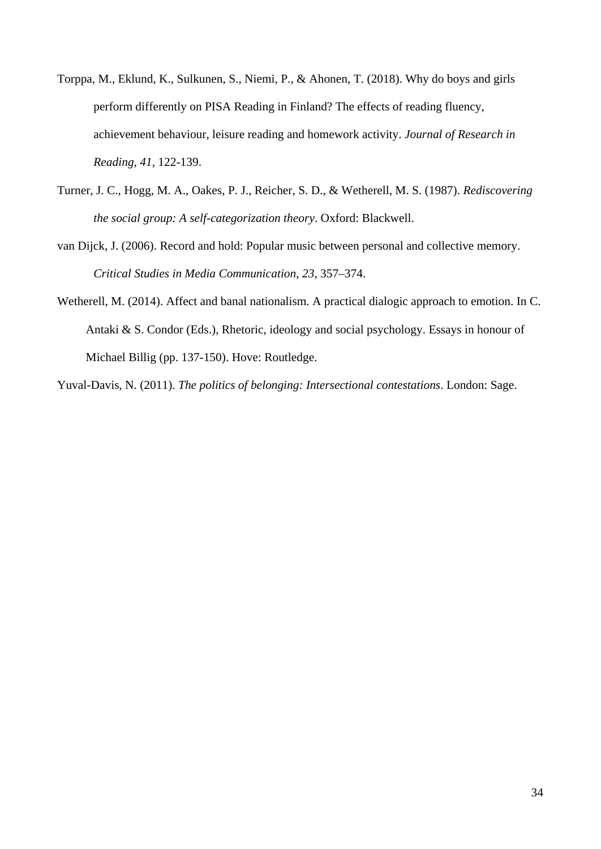- Torppa, M., Eklund, K., Sulkunen, S., Niemi, P., & Ahonen, T. (2018). Why do boys and girls perform differently on PISA Reading in Finland? The effects of reading fluency, achievement behaviour, leisure reading and homework activity. *Journal of Research in Reading*, *41*, 122-139.
- Turner, J. C., Hogg, M. A., Oakes, P. J., Reicher, S. D., & Wetherell, M. S. (1987). *Rediscovering the social group: A self-categorization theory*. Oxford: Blackwell.
- van Dijck, J. (2006). Record and hold: Popular music between personal and collective memory. *Critical Studies in Media Communication*, *23*, 357–374.
- Wetherell, M. (2014). Affect and banal nationalism. A practical dialogic approach to emotion. In C. Antaki & S. Condor (Eds.), Rhetoric, ideology and social psychology. Essays in honour of Michael Billig (pp. 137-150). Hove: Routledge.
- Yuval-Davis, N. (2011). *The politics of belonging: Intersectional contestations*. London: Sage.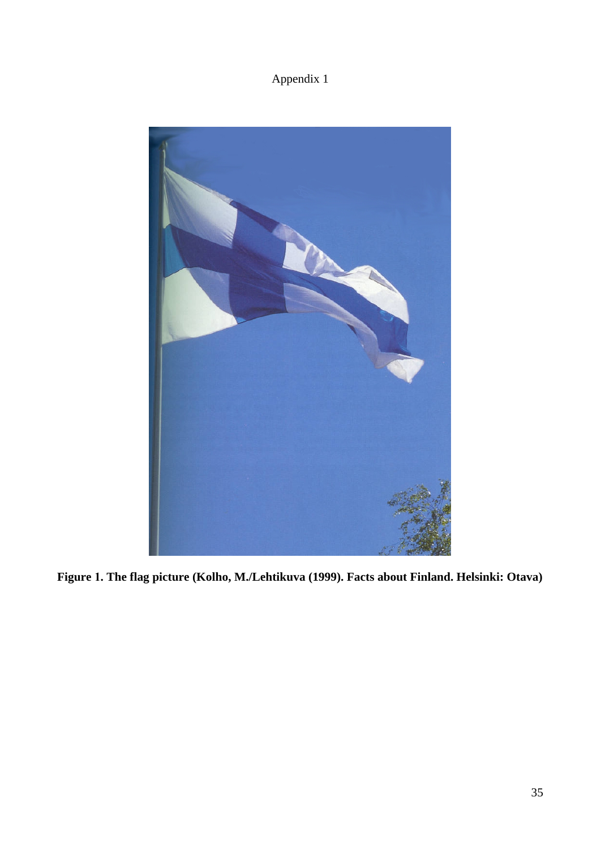# Appendix 1



**Figure 1. The flag picture (Kolho, M./Lehtikuva (1999). Facts about Finland. Helsinki: Otava)**